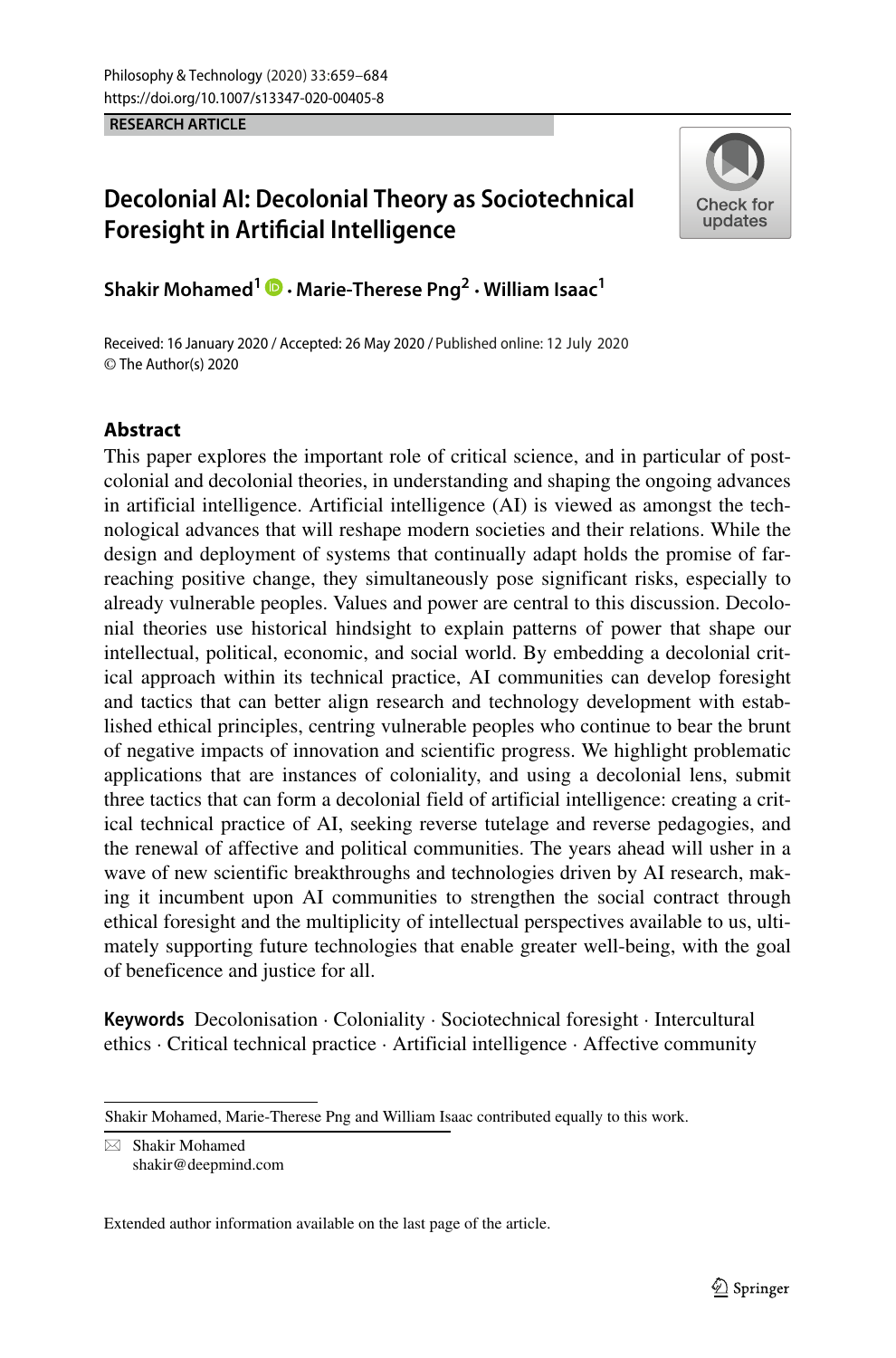**RESEARCH ARTICLE**

# **Decolonial AI: Decolonial Theory as Sociotechnical Foresight in Artificial Intelligence**



**Shakir Mohamed<sup>1</sup> · Marie-Therese Png<sup>2</sup> · William Isaac<sup>1</sup>**

Received: 16 January 2020 / Accepted: 26 May 2020 / Published online: 12 July 2020© The Author(s) 2020

# **Abstract**

This paper explores the important role of critical science, and in particular of postcolonial and decolonial theories, in understanding and shaping the ongoing advances in artificial intelligence. Artificial intelligence (AI) is viewed as amongst the technological advances that will reshape modern societies and their relations. While the design and deployment of systems that continually adapt holds the promise of farreaching positive change, they simultaneously pose significant risks, especially to already vulnerable peoples. Values and power are central to this discussion. Decolonial theories use historical hindsight to explain patterns of power that shape our intellectual, political, economic, and social world. By embedding a decolonial critical approach within its technical practice, AI communities can develop foresight and tactics that can better align research and technology development with established ethical principles, centring vulnerable peoples who continue to bear the brunt of negative impacts of innovation and scientific progress. We highlight problematic applications that are instances of coloniality, and using a decolonial lens, submit three tactics that can form a decolonial field of artificial intelligence: creating a critical technical practice of AI, seeking reverse tutelage and reverse pedagogies, and the renewal of affective and political communities. The years ahead will usher in a wave of new scientific breakthroughs and technologies driven by AI research, making it incumbent upon AI communities to strengthen the social contract through ethical foresight and the multiplicity of intellectual perspectives available to us, ultimately supporting future technologies that enable greater well-being, with the goal of beneficence and justice for all.

**Keywords** Decolonisation · Coloniality · Sociotechnical foresight · Intercultural ethics · Critical technical practice · Artificial intelligence · Affective community

Extended author information available on the last page of the article.

Shakir Mohamed, Marie-Therese Png and William Isaac contributed equally to this work.

<sup>-</sup> Shakir Mohamed [shakir@deepmind.com](mailto: shakir@deepmind.com)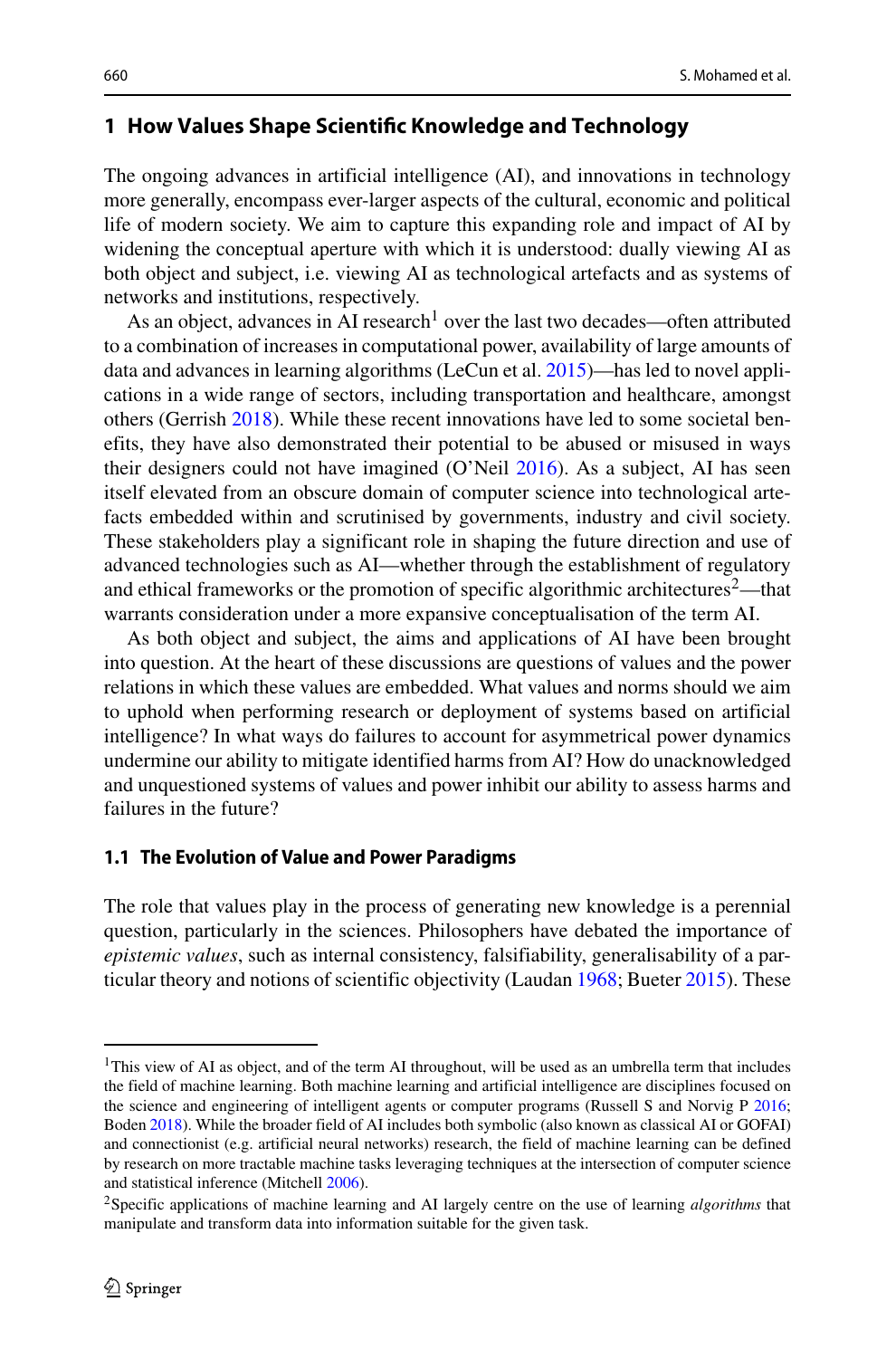### **1 How Values Shape Scientific Knowledge and Technology**

The ongoing advances in artificial intelligence (AI), and innovations in technology more generally, encompass ever-larger aspects of the cultural, economic and political life of modern society. We aim to capture this expanding role and impact of AI by widening the conceptual aperture with which it is understood: dually viewing AI as both object and subject, i.e. viewing AI as technological artefacts and as systems of networks and institutions, respectively.

As an object, advances in AI research<sup>[1](#page-1-0)</sup> over the last two decades—often attributed to a combination of increases in computational power, availability of large amounts of data and advances in learning algorithms (LeCun et al. [2015\)](#page-22-0)—has led to novel applications in a wide range of sectors, including transportation and healthcare, amongst others (Gerrish [2018\)](#page-21-0). While these recent innovations have led to some societal benefits, they have also demonstrated their potential to be abused or misused in ways their designers could not have imagined (O'Neil [2016\)](#page-23-0). As a subject, AI has seen itself elevated from an obscure domain of computer science into technological artefacts embedded within and scrutinised by governments, industry and civil society. These stakeholders play a significant role in shaping the future direction and use of advanced technologies such as AI—whether through the establishment of regulatory and ethical frameworks or the promotion of specific algorithmic architectures<sup>[2](#page-1-1)</sup>—that warrants consideration under a more expansive conceptualisation of the term AI.

As both object and subject, the aims and applications of AI have been brought into question. At the heart of these discussions are questions of values and the power relations in which these values are embedded. What values and norms should we aim to uphold when performing research or deployment of systems based on artificial intelligence? In what ways do failures to account for asymmetrical power dynamics undermine our ability to mitigate identified harms from AI? How do unacknowledged and unquestioned systems of values and power inhibit our ability to assess harms and failures in the future?

#### **1.1 The Evolution of Value and Power Paradigms**

The role that values play in the process of generating new knowledge is a perennial question, particularly in the sciences. Philosophers have debated the importance of *epistemic values*, such as internal consistency, falsifiability, generalisability of a particular theory and notions of scientific objectivity (Laudan [1968;](#page-22-1) Bueter [2015\)](#page-20-0). These

<span id="page-1-0"></span><sup>&</sup>lt;sup>1</sup>This view of AI as object, and of the term AI throughout, will be used as an umbrella term that includes the field of machine learning. Both machine learning and artificial intelligence are disciplines focused on the science and engineering of intelligent agents or computer programs (Russell S and Norvig P [2016;](#page-24-0) Boden [2018\)](#page-19-0). While the broader field of AI includes both symbolic (also known as classical AI or GOFAI) and connectionist (e.g. artificial neural networks) research, the field of machine learning can be defined by research on more tractable machine tasks leveraging techniques at the intersection of computer science and statistical inference (Mitchell [2006\)](#page-23-1).

<span id="page-1-1"></span><sup>2</sup>Specific applications of machine learning and AI largely centre on the use of learning *algorithms* that manipulate and transform data into information suitable for the given task.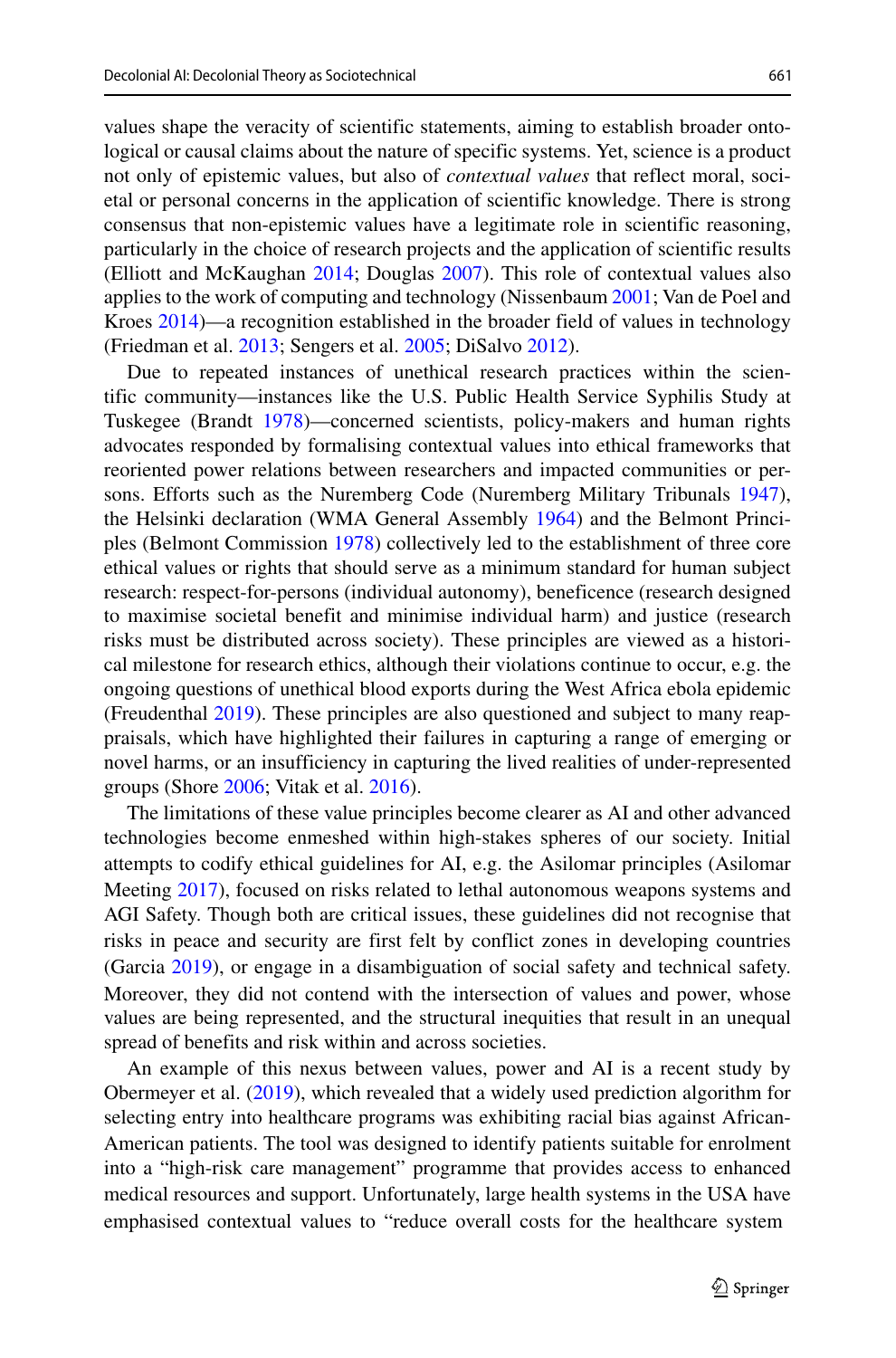values shape the veracity of scientific statements, aiming to establish broader ontological or causal claims about the nature of specific systems. Yet, science is a product not only of epistemic values, but also of *contextual values* that reflect moral, societal or personal concerns in the application of scientific knowledge. There is strong consensus that non-epistemic values have a legitimate role in scientific reasoning, particularly in the choice of research projects and the application of scientific results (Elliott and McKaughan [2014;](#page-20-1) Douglas [2007\)](#page-20-2). This role of contextual values also applies to the work of computing and technology (Nissenbaum [2001;](#page-23-2) Van de Poel and Kroes [2014\)](#page-23-3)—a recognition established in the broader field of values in technology (Friedman et al. [2013;](#page-21-1) Sengers et al. [2005;](#page-24-1) DiSalvo [2012\)](#page-20-3).

Due to repeated instances of unethical research practices within the scientific community—instances like the U.S. Public Health Service Syphilis Study at Tuskegee (Brandt [1978\)](#page-19-1)—concerned scientists, policy-makers and human rights advocates responded by formalising contextual values into ethical frameworks that reoriented power relations between researchers and impacted communities or persons. Efforts such as the Nuremberg Code (Nuremberg Military Tribunals [1947\)](#page-23-4), the Helsinki declaration (WMA General Assembly [1964\)](#page-25-0) and the Belmont Principles (Belmont Commission [1978\)](#page-19-2) collectively led to the establishment of three core ethical values or rights that should serve as a minimum standard for human subject research: respect-for-persons (individual autonomy), beneficence (research designed to maximise societal benefit and minimise individual harm) and justice (research risks must be distributed across society). These principles are viewed as a historical milestone for research ethics, although their violations continue to occur, e.g. the ongoing questions of unethical blood exports during the West Africa ebola epidemic (Freudenthal [2019\)](#page-21-2). These principles are also questioned and subject to many reappraisals, which have highlighted their failures in capturing a range of emerging or novel harms, or an insufficiency in capturing the lived realities of under-represented groups (Shore [2006;](#page-24-2) Vitak et al. [2016\)](#page-25-1).

The limitations of these value principles become clearer as AI and other advanced technologies become enmeshed within high-stakes spheres of our society. Initial attempts to codify ethical guidelines for AI, e.g. the Asilomar principles (Asilomar Meeting [2017\)](#page-19-3), focused on risks related to lethal autonomous weapons systems and AGI Safety. Though both are critical issues, these guidelines did not recognise that risks in peace and security are first felt by conflict zones in developing countries (Garcia [2019\)](#page-21-3), or engage in a disambiguation of social safety and technical safety. Moreover, they did not contend with the intersection of values and power, whose values are being represented, and the structural inequities that result in an unequal spread of benefits and risk within and across societies.

An example of this nexus between values, power and AI is a recent study by Obermeyer et al. [\(2019\)](#page-23-5), which revealed that a widely used prediction algorithm for selecting entry into healthcare programs was exhibiting racial bias against African-American patients. The tool was designed to identify patients suitable for enrolment into a "high-risk care management" programme that provides access to enhanced medical resources and support. Unfortunately, large health systems in the USA have emphasised contextual values to "reduce overall costs for the healthcare system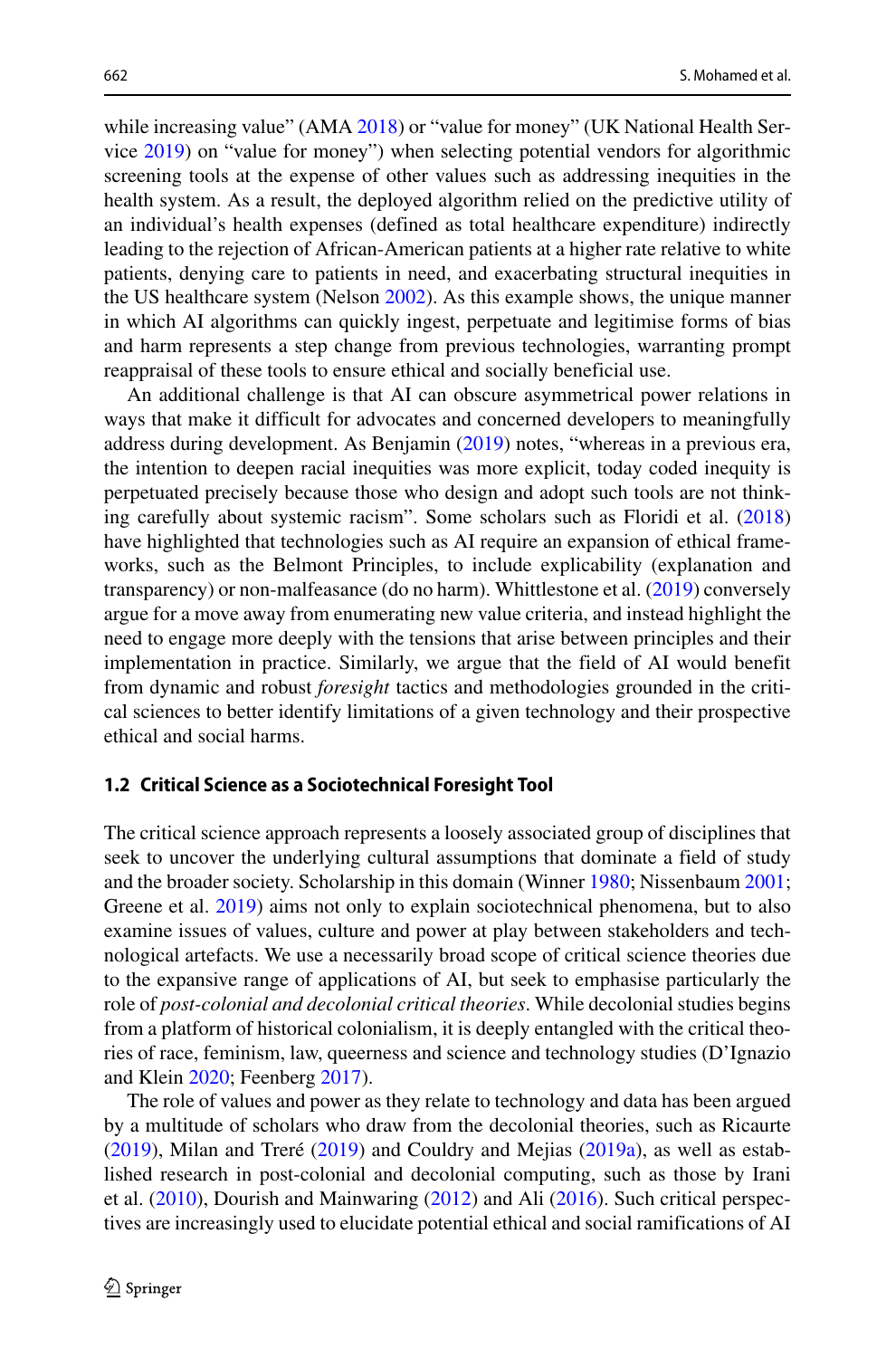while increasing value" (AMA [2018\)](#page-19-4) or "value for money" (UK National Health Service [2019\)](#page-24-3) on "value for money") when selecting potential vendors for algorithmic screening tools at the expense of other values such as addressing inequities in the health system. As a result, the deployed algorithm relied on the predictive utility of an individual's health expenses (defined as total healthcare expenditure) indirectly leading to the rejection of African-American patients at a higher rate relative to white patients, denying care to patients in need, and exacerbating structural inequities in the US healthcare system (Nelson [2002\)](#page-23-6). As this example shows, the unique manner in which AI algorithms can quickly ingest, perpetuate and legitimise forms of bias and harm represents a step change from previous technologies, warranting prompt reappraisal of these tools to ensure ethical and socially beneficial use.

An additional challenge is that AI can obscure asymmetrical power relations in ways that make it difficult for advocates and concerned developers to meaningfully address during development. As Benjamin [\(2019\)](#page-19-5) notes, "whereas in a previous era, the intention to deepen racial inequities was more explicit, today coded inequity is perpetuated precisely because those who design and adopt such tools are not thinking carefully about systemic racism". Some scholars such as Floridi et al. [\(2018\)](#page-21-4) have highlighted that technologies such as AI require an expansion of ethical frameworks, such as the Belmont Principles, to include explicability (explanation and transparency) or non-malfeasance (do no harm). Whittlestone et al. [\(2019\)](#page-25-2) conversely argue for a move away from enumerating new value criteria, and instead highlight the need to engage more deeply with the tensions that arise between principles and their implementation in practice. Similarly, we argue that the field of AI would benefit from dynamic and robust *foresight* tactics and methodologies grounded in the critical sciences to better identify limitations of a given technology and their prospective ethical and social harms.

#### **1.2 Critical Science as a Sociotechnical Foresight Tool**

The critical science approach represents a loosely associated group of disciplines that seek to uncover the underlying cultural assumptions that dominate a field of study and the broader society. Scholarship in this domain (Winner [1980;](#page-25-3) Nissenbaum [2001;](#page-23-2) Greene et al. [2019\)](#page-21-5) aims not only to explain sociotechnical phenomena, but to also examine issues of values, culture and power at play between stakeholders and technological artefacts. We use a necessarily broad scope of critical science theories due to the expansive range of applications of AI, but seek to emphasise particularly the role of *post-colonial and decolonial critical theories*. While decolonial studies begins from a platform of historical colonialism, it is deeply entangled with the critical theories of race, feminism, law, queerness and science and technology studies (D'Ignazio and Klein [2020;](#page-20-4) Feenberg [2017\)](#page-21-6).

The role of values and power as they relate to technology and data has been argued by a multitude of scholars who draw from the decolonial theories, such as Ricaurte  $(2019)$ , Milan and Treré  $(2019)$  $(2019)$  and Couldry and Mejias  $(2019a)$ , as well as established research in post-colonial and decolonial computing, such as those by Irani et al. [\(2010\)](#page-22-2), Dourish and Mainwaring [\(2012\)](#page-20-6) and Ali [\(2016\)](#page-19-6). Such critical perspectives are increasingly used to elucidate potential ethical and social ramifications of AI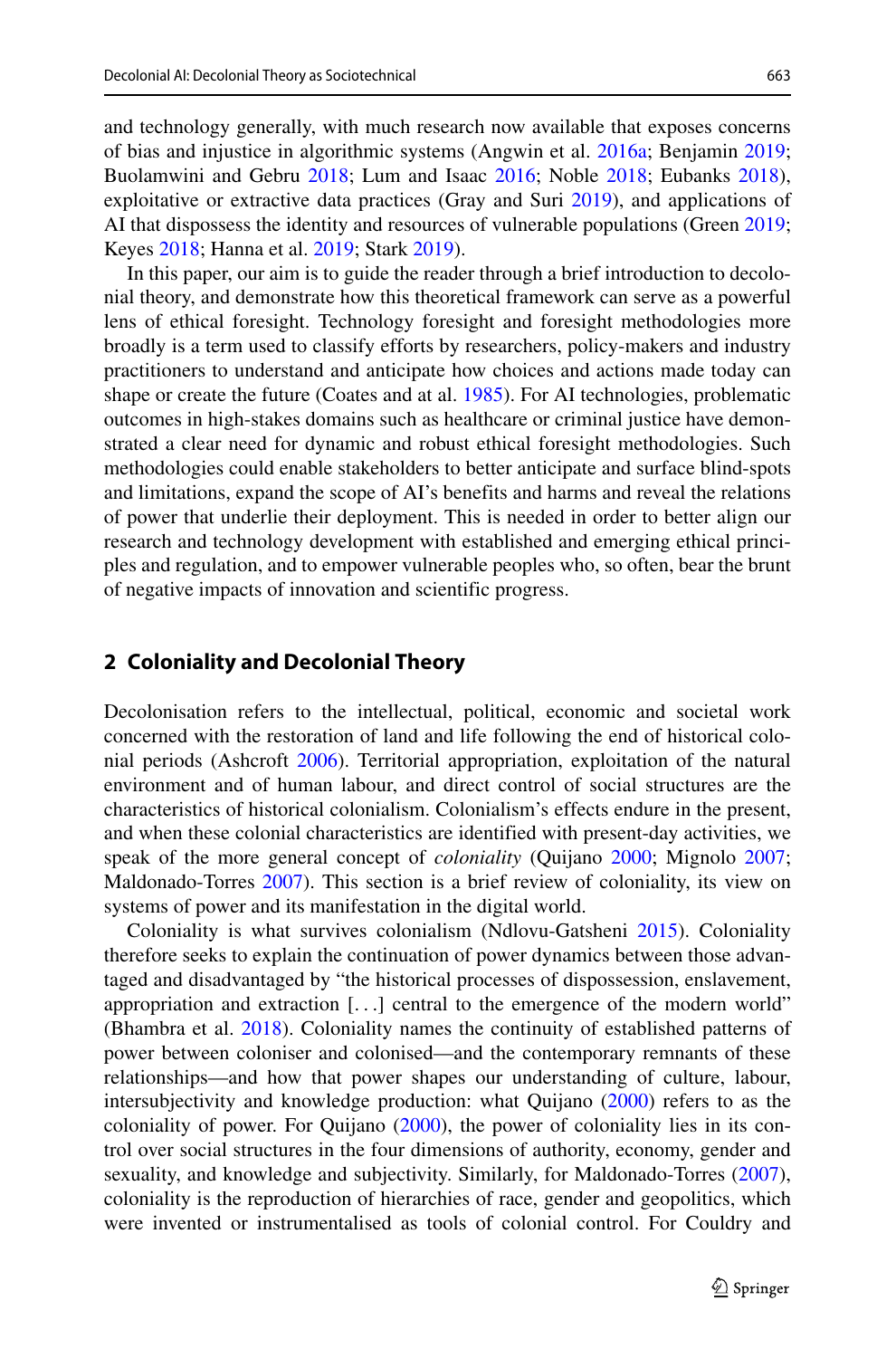and technology generally, with much research now available that exposes concerns of bias and injustice in algorithmic systems (Angwin et al. [2016a;](#page-19-7) Benjamin [2019;](#page-19-5) Buolamwini and Gebru [2018;](#page-20-7) Lum and Isaac [2016;](#page-22-3) Noble [2018;](#page-23-9) Eubanks [2018\)](#page-21-7), exploitative or extractive data practices (Gray and Suri [2019\)](#page-21-8), and applications of AI that dispossess the identity and resources of vulnerable populations (Green [2019;](#page-21-9) Keyes [2018;](#page-22-4) Hanna et al. [2019;](#page-21-10) Stark [2019\)](#page-24-4).

In this paper, our aim is to guide the reader through a brief introduction to decolonial theory, and demonstrate how this theoretical framework can serve as a powerful lens of ethical foresight. Technology foresight and foresight methodologies more broadly is a term used to classify efforts by researchers, policy-makers and industry practitioners to understand and anticipate how choices and actions made today can shape or create the future (Coates and at al. [1985\)](#page-20-8). For AI technologies, problematic outcomes in high-stakes domains such as healthcare or criminal justice have demonstrated a clear need for dynamic and robust ethical foresight methodologies. Such methodologies could enable stakeholders to better anticipate and surface blind-spots and limitations, expand the scope of AI's benefits and harms and reveal the relations of power that underlie their deployment. This is needed in order to better align our research and technology development with established and emerging ethical principles and regulation, and to empower vulnerable peoples who, so often, bear the brunt of negative impacts of innovation and scientific progress.

### **2 Coloniality and Decolonial Theory**

Decolonisation refers to the intellectual, political, economic and societal work concerned with the restoration of land and life following the end of historical colonial periods (Ashcroft [2006\)](#page-19-8). Territorial appropriation, exploitation of the natural environment and of human labour, and direct control of social structures are the characteristics of historical colonialism. Colonialism's effects endure in the present, and when these colonial characteristics are identified with present-day activities, we speak of the more general concept of *coloniality* (Quijano [2000;](#page-23-10) Mignolo [2007;](#page-22-5) Maldonado-Torres [2007\)](#page-22-6). This section is a brief review of coloniality, its view on systems of power and its manifestation in the digital world.

Coloniality is what survives colonialism (Ndlovu-Gatsheni [2015\)](#page-23-11). Coloniality therefore seeks to explain the continuation of power dynamics between those advantaged and disadvantaged by "the historical processes of dispossession, enslavement, appropriation and extraction [*...*] central to the emergence of the modern world" (Bhambra et al. [2018\)](#page-19-9). Coloniality names the continuity of established patterns of power between coloniser and colonised—and the contemporary remnants of these relationships—and how that power shapes our understanding of culture, labour, intersubjectivity and knowledge production: what Quijano [\(2000\)](#page-23-10) refers to as the coloniality of power. For Quijano [\(2000\)](#page-23-10), the power of coloniality lies in its control over social structures in the four dimensions of authority, economy, gender and sexuality, and knowledge and subjectivity. Similarly, for Maldonado-Torres [\(2007\)](#page-22-6), coloniality is the reproduction of hierarchies of race, gender and geopolitics, which were invented or instrumentalised as tools of colonial control. For Couldry and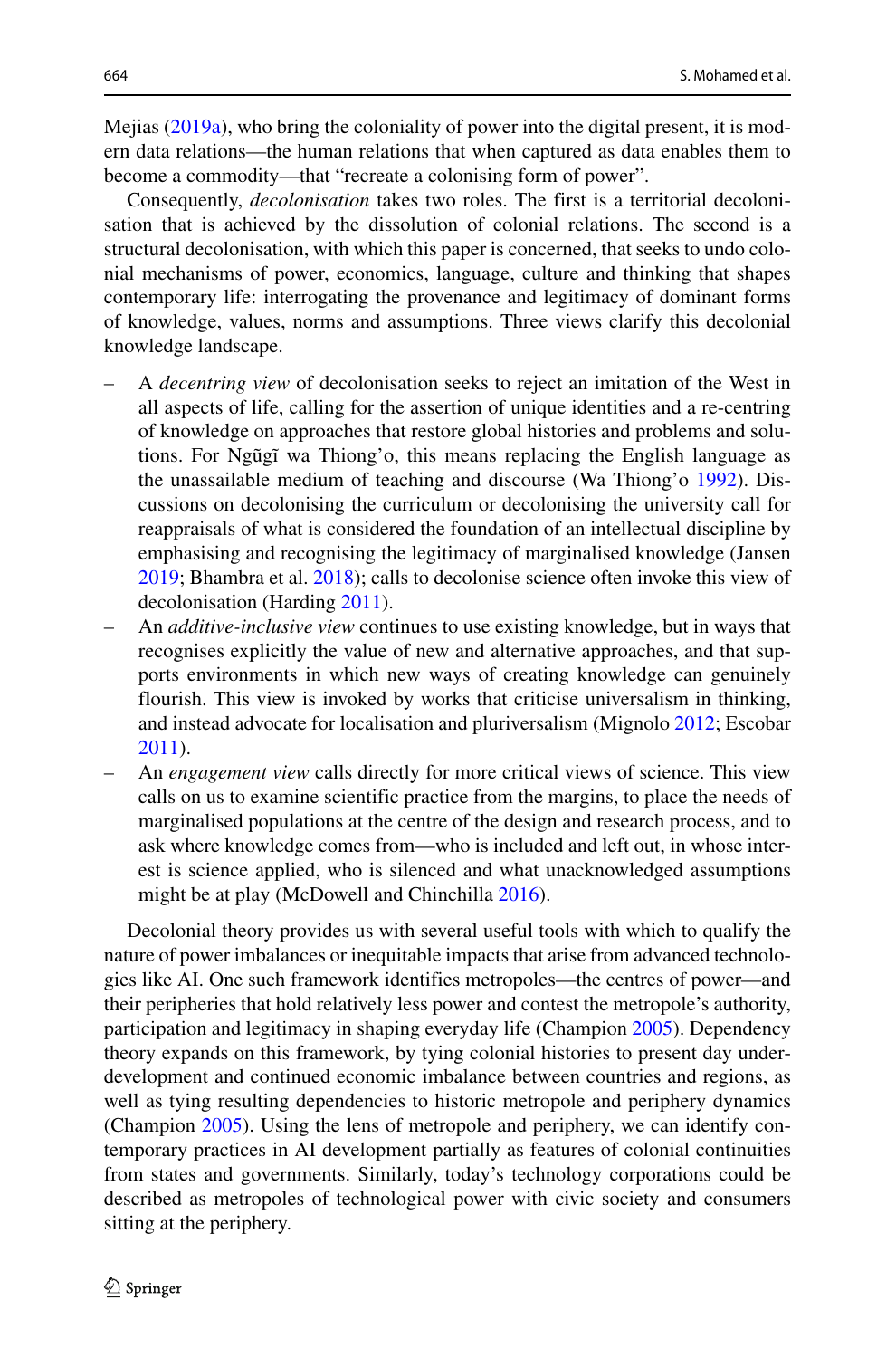Mejias [\(2019a\)](#page-20-5), who bring the coloniality of power into the digital present, it is modern data relations—the human relations that when captured as data enables them to become a commodity—that "recreate a colonising form of power".

Consequently, *decolonisation* takes two roles. The first is a territorial decolonisation that is achieved by the dissolution of colonial relations. The second is a structural decolonisation, with which this paper is concerned, that seeks to undo colonial mechanisms of power, economics, language, culture and thinking that shapes contemporary life: interrogating the provenance and legitimacy of dominant forms of knowledge, values, norms and assumptions. Three views clarify this decolonial knowledge landscape.

- A *decentring view* of decolonisation seeks to reject an imitation of the West in all aspects of life, calling for the assertion of unique identities and a re-centring of knowledge on approaches that restore global histories and problems and solutions. For Ngũgĩ wa Thiong'o, this means replacing the English language as the unassailable medium of teaching and discourse (Wa Thiong'o [1992\)](#page-25-4). Discussions on decolonising the curriculum or decolonising the university call for reappraisals of what is considered the foundation of an intellectual discipline by emphasising and recognising the legitimacy of marginalised knowledge (Jansen [2019;](#page-22-7) Bhambra et al. [2018\)](#page-19-9); calls to decolonise science often invoke this view of decolonisation (Harding [2011\)](#page-21-11).
- An *additive-inclusive view* continues to use existing knowledge, but in ways that recognises explicitly the value of new and alternative approaches, and that supports environments in which new ways of creating knowledge can genuinely flourish. This view is invoked by works that criticise universalism in thinking, and instead advocate for localisation and pluriversalism (Mignolo [2012;](#page-22-8) Escobar [2011\)](#page-20-9).
- An *engagement view* calls directly for more critical views of science. This view calls on us to examine scientific practice from the margins, to place the needs of marginalised populations at the centre of the design and research process, and to ask where knowledge comes from—who is included and left out, in whose interest is science applied, who is silenced and what unacknowledged assumptions might be at play (McDowell and Chinchilla [2016\)](#page-22-9).

Decolonial theory provides us with several useful tools with which to qualify the nature of power imbalances or inequitable impacts that arise from advanced technologies like AI. One such framework identifies metropoles—the centres of power—and their peripheries that hold relatively less power and contest the metropole's authority, participation and legitimacy in shaping everyday life (Champion [2005\)](#page-20-10). Dependency theory expands on this framework, by tying colonial histories to present day underdevelopment and continued economic imbalance between countries and regions, as well as tying resulting dependencies to historic metropole and periphery dynamics (Champion [2005\)](#page-20-10). Using the lens of metropole and periphery, we can identify contemporary practices in AI development partially as features of colonial continuities from states and governments. Similarly, today's technology corporations could be described as metropoles of technological power with civic society and consumers sitting at the periphery.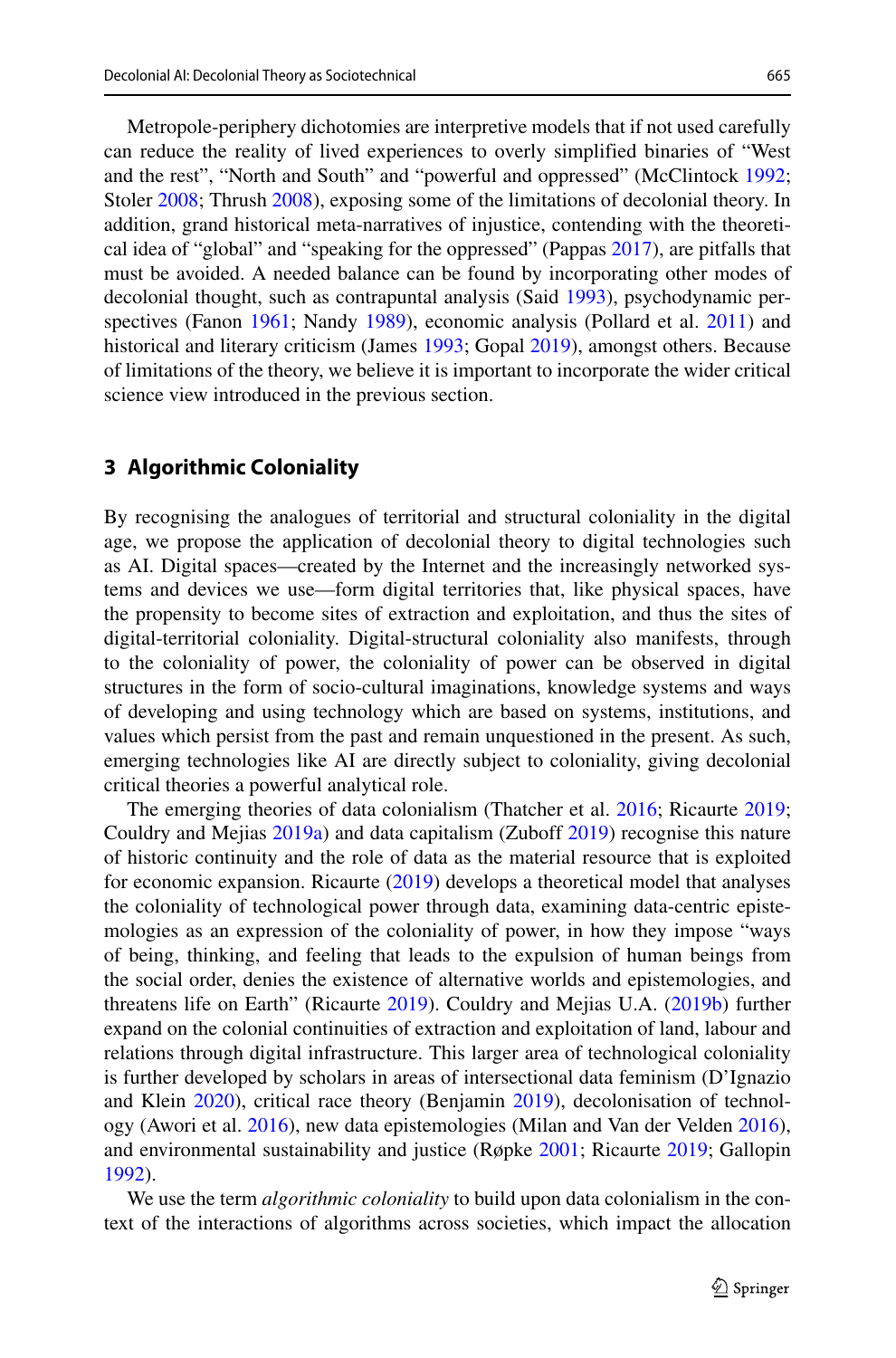Metropole-periphery dichotomies are interpretive models that if not used carefully can reduce the reality of lived experiences to overly simplified binaries of "West and the rest", "North and South" and "powerful and oppressed" (McClintock [1992;](#page-22-10) Stoler [2008;](#page-24-5) Thrush [2008\)](#page-24-6), exposing some of the limitations of decolonial theory. In addition, grand historical meta-narratives of injustice, contending with the theoretical idea of "global" and "speaking for the oppressed" (Pappas [2017\)](#page-23-12), are pitfalls that must be avoided. A needed balance can be found by incorporating other modes of decolonial thought, such as contrapuntal analysis (Said [1993\)](#page-24-7), psychodynamic per-spectives (Fanon [1961;](#page-21-12) Nandy [1989\)](#page-23-13), economic analysis (Pollard et al. [2011\)](#page-23-14) and historical and literary criticism (James [1993;](#page-22-11) Gopal [2019\)](#page-21-13), amongst others. Because of limitations of the theory, we believe it is important to incorporate the wider critical science view introduced in the previous section.

# <span id="page-6-0"></span>**3 Algorithmic Coloniality**

By recognising the analogues of territorial and structural coloniality in the digital age, we propose the application of decolonial theory to digital technologies such as AI. Digital spaces—created by the Internet and the increasingly networked systems and devices we use—form digital territories that, like physical spaces, have the propensity to become sites of extraction and exploitation, and thus the sites of digital-territorial coloniality. Digital-structural coloniality also manifests, through to the coloniality of power, the coloniality of power can be observed in digital structures in the form of socio-cultural imaginations, knowledge systems and ways of developing and using technology which are based on systems, institutions, and values which persist from the past and remain unquestioned in the present. As such, emerging technologies like AI are directly subject to coloniality, giving decolonial critical theories a powerful analytical role.

The emerging theories of data colonialism (Thatcher et al. [2016;](#page-24-8) Ricaurte [2019;](#page-23-7) Couldry and Mejias [2019a\)](#page-20-5) and data capitalism (Zuboff [2019\)](#page-25-5) recognise this nature of historic continuity and the role of data as the material resource that is exploited for economic expansion. Ricaurte [\(2019\)](#page-23-7) develops a theoretical model that analyses the coloniality of technological power through data, examining data-centric epistemologies as an expression of the coloniality of power, in how they impose "ways of being, thinking, and feeling that leads to the expulsion of human beings from the social order, denies the existence of alternative worlds and epistemologies, and threatens life on Earth" (Ricaurte [2019\)](#page-23-7). Couldry and Mejias U.A. [\(2019b\)](#page-20-11) further expand on the colonial continuities of extraction and exploitation of land, labour and relations through digital infrastructure. This larger area of technological coloniality is further developed by scholars in areas of intersectional data feminism (D'Ignazio and Klein [2020\)](#page-20-4), critical race theory (Benjamin [2019\)](#page-19-5), decolonisation of technology (Awori et al. [2016\)](#page-19-10), new data epistemologies (Milan and Van der Velden [2016\)](#page-23-15), and environmental sustainability and justice (Røpke [2001;](#page-24-9) Ricaurte [2019;](#page-23-7) Gallopin [1992\)](#page-21-14).

We use the term *algorithmic coloniality* to build upon data colonialism in the context of the interactions of algorithms across societies, which impact the allocation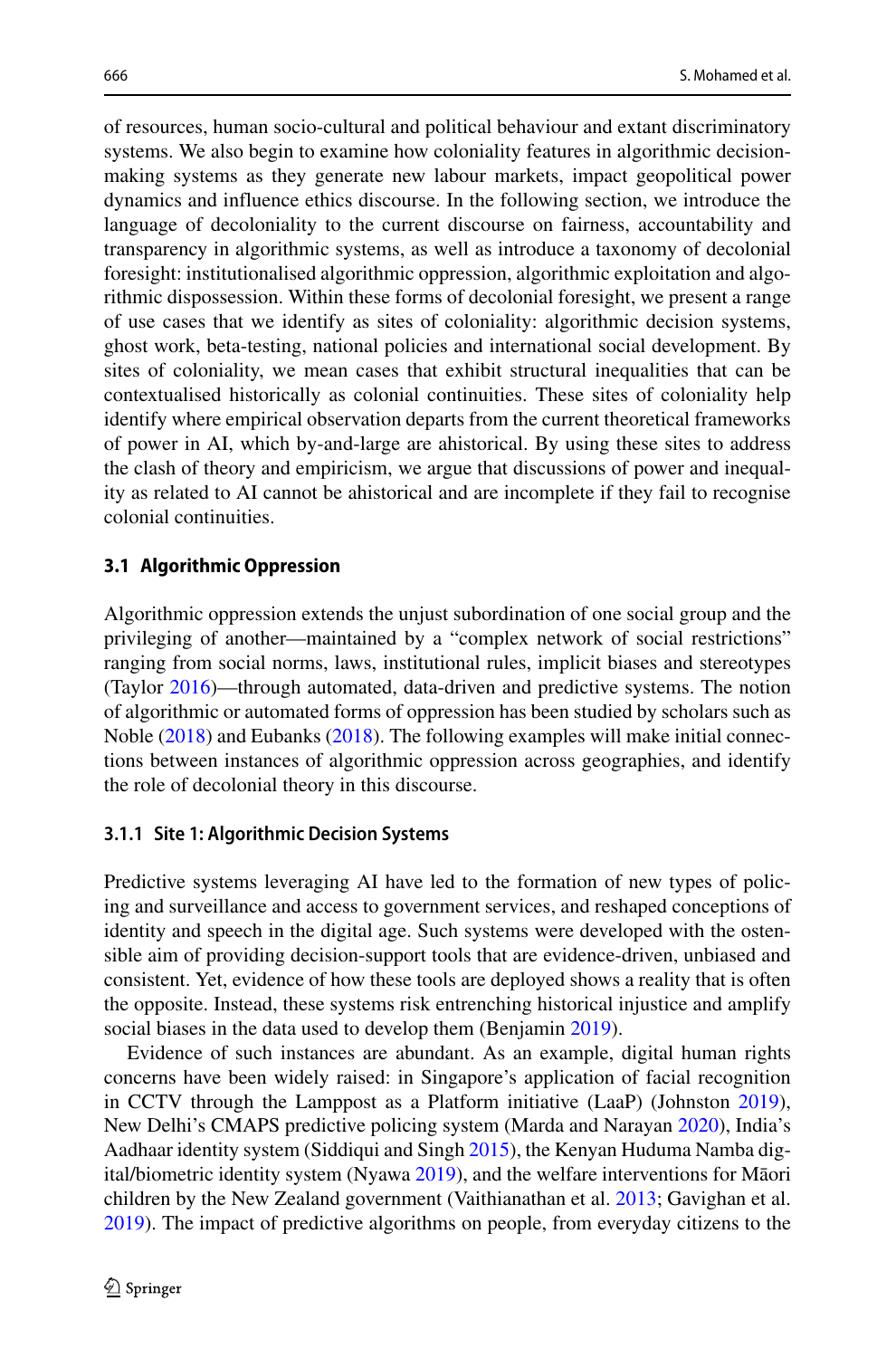of resources, human socio-cultural and political behaviour and extant discriminatory systems. We also begin to examine how coloniality features in algorithmic decisionmaking systems as they generate new labour markets, impact geopolitical power dynamics and influence ethics discourse. In the following section, we introduce the language of decoloniality to the current discourse on fairness, accountability and transparency in algorithmic systems, as well as introduce a taxonomy of decolonial foresight: institutionalised algorithmic oppression, algorithmic exploitation and algorithmic dispossession. Within these forms of decolonial foresight, we present a range of use cases that we identify as sites of coloniality: algorithmic decision systems, ghost work, beta-testing, national policies and international social development. By sites of coloniality, we mean cases that exhibit structural inequalities that can be contextualised historically as colonial continuities. These sites of coloniality help identify where empirical observation departs from the current theoretical frameworks of power in AI, which by-and-large are ahistorical. By using these sites to address the clash of theory and empiricism, we argue that discussions of power and inequality as related to AI cannot be ahistorical and are incomplete if they fail to recognise colonial continuities.

## **3.1 Algorithmic Oppression**

Algorithmic oppression extends the unjust subordination of one social group and the privileging of another—maintained by a "complex network of social restrictions" ranging from social norms, laws, institutional rules, implicit biases and stereotypes (Taylor [2016\)](#page-24-10)—through automated, data-driven and predictive systems. The notion of algorithmic or automated forms of oppression has been studied by scholars such as Noble [\(2018\)](#page-23-9) and Eubanks [\(2018\)](#page-21-7). The following examples will make initial connections between instances of algorithmic oppression across geographies, and identify the role of decolonial theory in this discourse.

#### **3.1.1 Site 1: Algorithmic Decision Systems**

Predictive systems leveraging AI have led to the formation of new types of policing and surveillance and access to government services, and reshaped conceptions of identity and speech in the digital age. Such systems were developed with the ostensible aim of providing decision-support tools that are evidence-driven, unbiased and consistent. Yet, evidence of how these tools are deployed shows a reality that is often the opposite. Instead, these systems risk entrenching historical injustice and amplify social biases in the data used to develop them (Benjamin [2019\)](#page-19-5).

Evidence of such instances are abundant. As an example, digital human rights concerns have been widely raised: in Singapore's application of facial recognition in CCTV through the Lamppost as a Platform initiative (LaaP) (Johnston [2019\)](#page-22-12), New Delhi's CMAPS predictive policing system (Marda and Narayan [2020\)](#page-22-13), India's Aadhaar identity system (Siddiqui and Singh [2015\)](#page-24-11), the Kenyan Huduma Namba dig-ital/biometric identity system (Nyawa [2019\)](#page-23-16), and the welfare interventions for Māori children by the New Zealand government (Vaithianathan et al. [2013;](#page-25-6) Gavighan et al. [2019\)](#page-21-15). The impact of predictive algorithms on people, from everyday citizens to the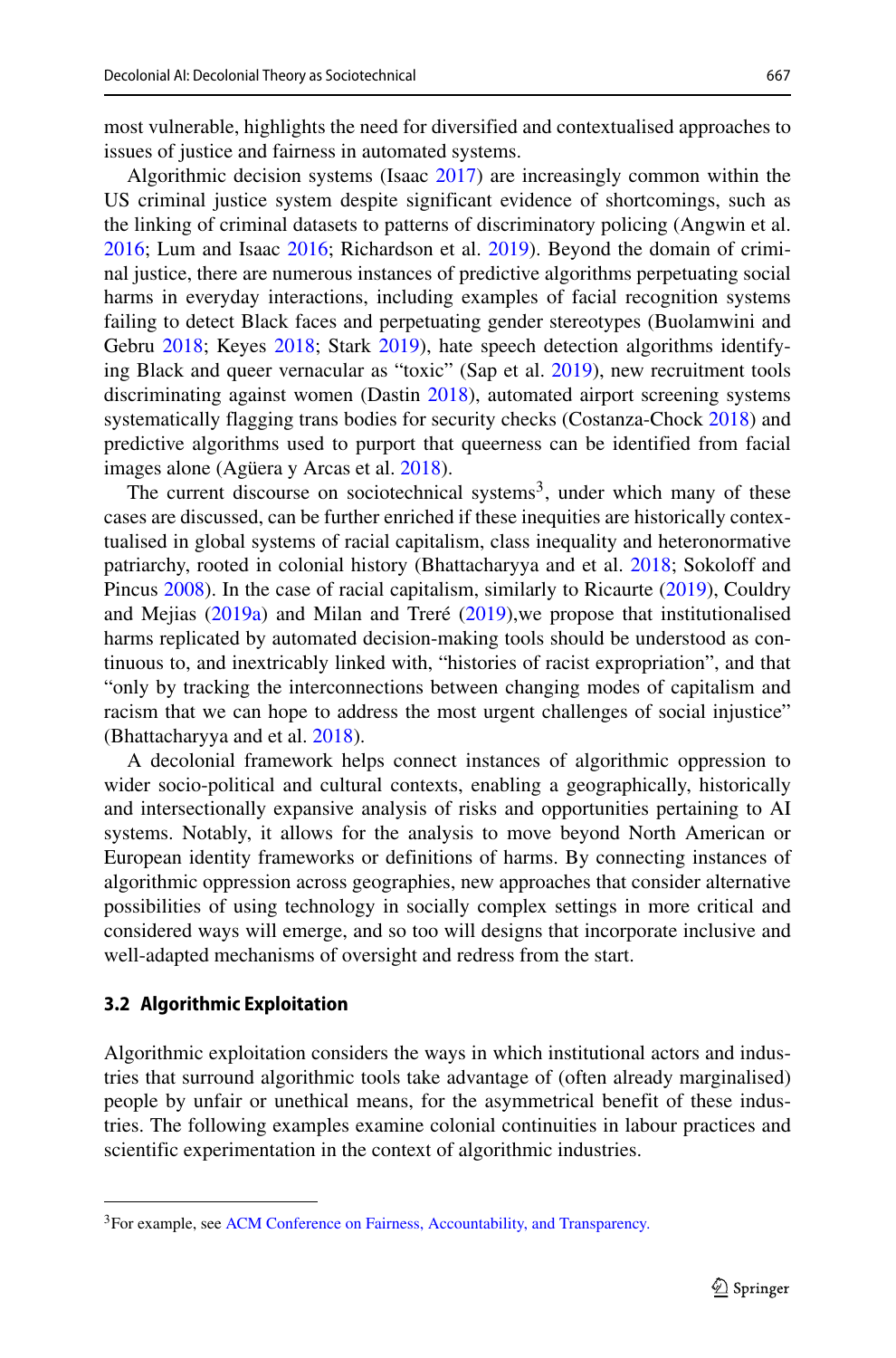most vulnerable, highlights the need for diversified and contextualised approaches to issues of justice and fairness in automated systems.

Algorithmic decision systems (Isaac [2017\)](#page-22-14) are increasingly common within the US criminal justice system despite significant evidence of shortcomings, such as the linking of criminal datasets to patterns of discriminatory policing (Angwin et al. [2016;](#page-19-11) Lum and Isaac [2016;](#page-22-3) Richardson et al. [2019\)](#page-24-12). Beyond the domain of criminal justice, there are numerous instances of predictive algorithms perpetuating social harms in everyday interactions, including examples of facial recognition systems failing to detect Black faces and perpetuating gender stereotypes (Buolamwini and Gebru [2018;](#page-20-7) Keyes [2018;](#page-22-4) Stark [2019\)](#page-24-4), hate speech detection algorithms identifying Black and queer vernacular as "toxic" (Sap et al. [2019\)](#page-24-13), new recruitment tools discriminating against women (Dastin [2018\)](#page-20-12), automated airport screening systems systematically flagging trans bodies for security checks (Costanza-Chock [2018\)](#page-20-13) and predictive algorithms used to purport that queerness can be identified from facial images alone (Agüera y Arcas et al. [2018\)](#page-19-12).

The current discourse on sociotechnical systems<sup>[3](#page-8-0)</sup>, under which many of these cases are discussed, can be further enriched if these inequities are historically contextualised in global systems of racial capitalism, class inequality and heteronormative patriarchy, rooted in colonial history (Bhattacharyya and et al. [2018;](#page-19-13) Sokoloff and Pincus [2008\)](#page-24-14). In the case of racial capitalism, similarly to Ricaurte [\(2019\)](#page-23-7), Couldry and Mejias ( $2019a$ ) and Milan and Treré ( $2019$ ), we propose that institutionalised harms replicated by automated decision-making tools should be understood as continuous to, and inextricably linked with, "histories of racist expropriation", and that "only by tracking the interconnections between changing modes of capitalism and racism that we can hope to address the most urgent challenges of social injustice" (Bhattacharyya and et al. [2018\)](#page-19-13).

A decolonial framework helps connect instances of algorithmic oppression to wider socio-political and cultural contexts, enabling a geographically, historically and intersectionally expansive analysis of risks and opportunities pertaining to AI systems. Notably, it allows for the analysis to move beyond North American or European identity frameworks or definitions of harms. By connecting instances of algorithmic oppression across geographies, new approaches that consider alternative possibilities of using technology in socially complex settings in more critical and considered ways will emerge, and so too will designs that incorporate inclusive and well-adapted mechanisms of oversight and redress from the start.

#### **3.2 Algorithmic Exploitation**

Algorithmic exploitation considers the ways in which institutional actors and industries that surround algorithmic tools take advantage of (often already marginalised) people by unfair or unethical means, for the asymmetrical benefit of these industries. The following examples examine colonial continuities in labour practices and scientific experimentation in the context of algorithmic industries.

<span id="page-8-0"></span><sup>&</sup>lt;sup>3</sup>For example, see [ACM Conference on Fairness, Accountability, and Transparency.](https://facctconference.org/)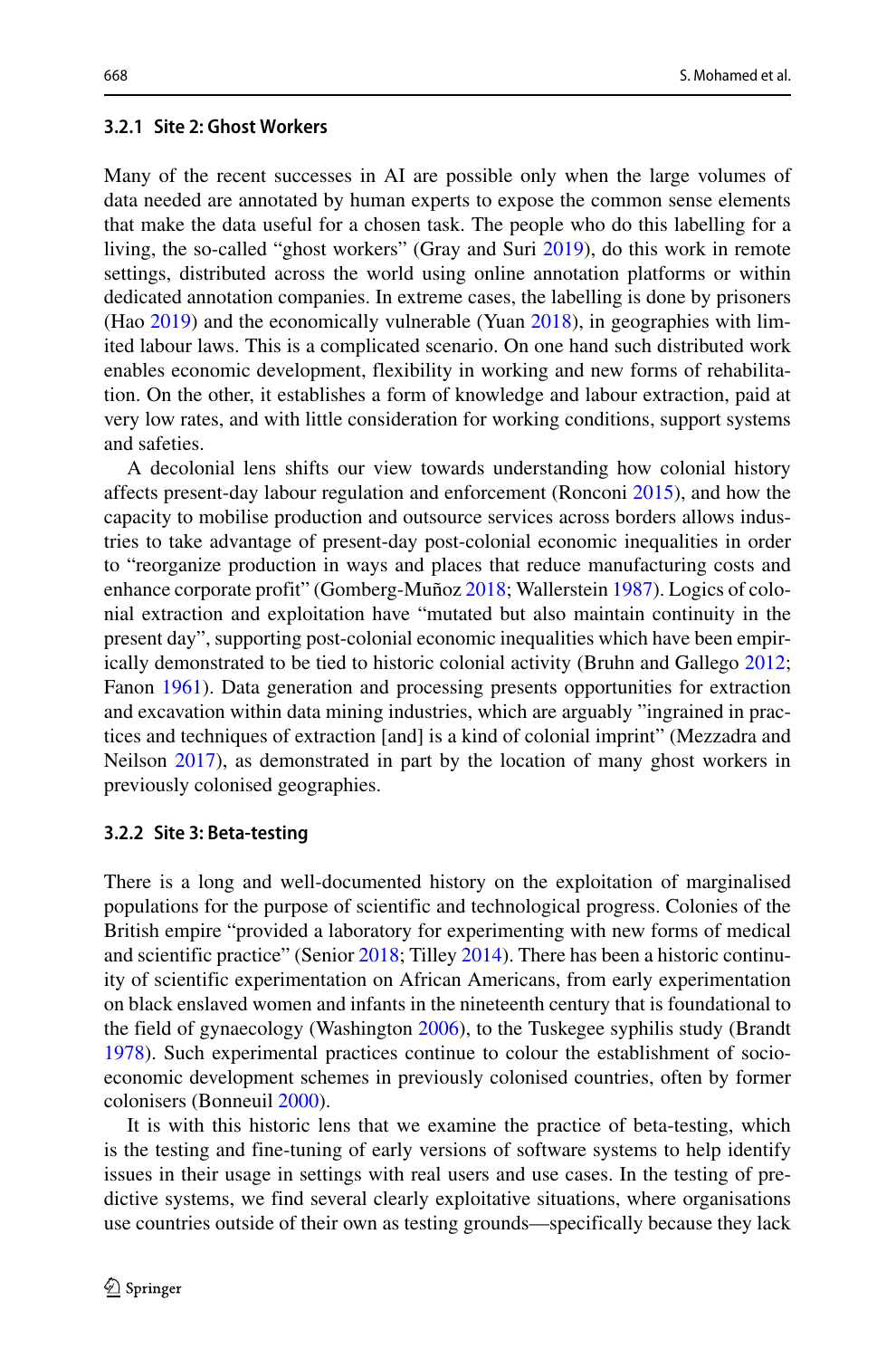#### **3.2.1 Site 2: Ghost Workers**

Many of the recent successes in AI are possible only when the large volumes of data needed are annotated by human experts to expose the common sense elements that make the data useful for a chosen task. The people who do this labelling for a living, the so-called "ghost workers" (Gray and Suri [2019\)](#page-21-8), do this work in remote settings, distributed across the world using online annotation platforms or within dedicated annotation companies. In extreme cases, the labelling is done by prisoners (Hao [2019\)](#page-21-16) and the economically vulnerable (Yuan [2018\)](#page-25-7), in geographies with limited labour laws. This is a complicated scenario. On one hand such distributed work enables economic development, flexibility in working and new forms of rehabilitation. On the other, it establishes a form of knowledge and labour extraction, paid at very low rates, and with little consideration for working conditions, support systems and safeties.

A decolonial lens shifts our view towards understanding how colonial history affects present-day labour regulation and enforcement (Ronconi [2015\)](#page-24-15), and how the capacity to mobilise production and outsource services across borders allows industries to take advantage of present-day post-colonial economic inequalities in order to "reorganize production in ways and places that reduce manufacturing costs and enhance corporate profit" (Gomberg-Muñoz [2018;](#page-21-17) Wallerstein [1987\)](#page-25-8). Logics of colonial extraction and exploitation have "mutated but also maintain continuity in the present day", supporting post-colonial economic inequalities which have been empirically demonstrated to be tied to historic colonial activity (Bruhn and Gallego [2012;](#page-19-14) Fanon [1961\)](#page-21-12). Data generation and processing presents opportunities for extraction and excavation within data mining industries, which are arguably "ingrained in practices and techniques of extraction [and] is a kind of colonial imprint" (Mezzadra and Neilson [2017\)](#page-22-15), as demonstrated in part by the location of many ghost workers in previously colonised geographies.

#### **3.2.2 Site 3: Beta-testing**

There is a long and well-documented history on the exploitation of marginalised populations for the purpose of scientific and technological progress. Colonies of the British empire "provided a laboratory for experimenting with new forms of medical and scientific practice" (Senior [2018;](#page-24-16) Tilley [2014\)](#page-24-17). There has been a historic continuity of scientific experimentation on African Americans, from early experimentation on black enslaved women and infants in the nineteenth century that is foundational to the field of gynaecology (Washington [2006\)](#page-25-9), to the Tuskegee syphilis study (Brandt [1978\)](#page-19-1). Such experimental practices continue to colour the establishment of socioeconomic development schemes in previously colonised countries, often by former colonisers (Bonneuil [2000\)](#page-19-15).

It is with this historic lens that we examine the practice of beta-testing, which is the testing and fine-tuning of early versions of software systems to help identify issues in their usage in settings with real users and use cases. In the testing of predictive systems, we find several clearly exploitative situations, where organisations use countries outside of their own as testing grounds—specifically because they lack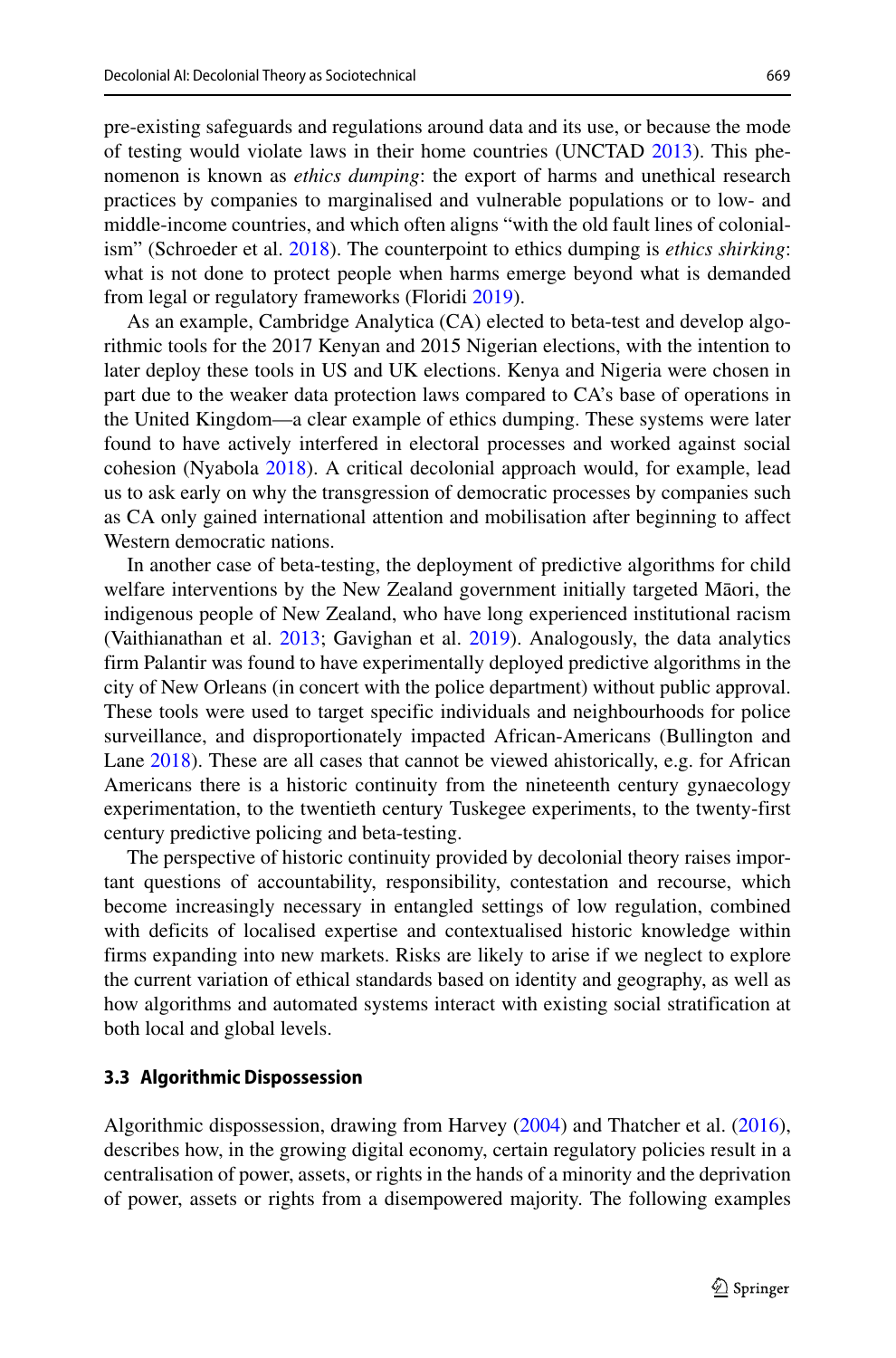pre-existing safeguards and regulations around data and its use, or because the mode of testing would violate laws in their home countries (UNCTAD [2013\)](#page-24-18). This phenomenon is known as *ethics dumping*: the export of harms and unethical research practices by companies to marginalised and vulnerable populations or to low- and middle-income countries, and which often aligns "with the old fault lines of colonialism" (Schroeder et al. [2018\)](#page-24-19). The counterpoint to ethics dumping is *ethics shirking*: what is not done to protect people when harms emerge beyond what is demanded from legal or regulatory frameworks (Floridi [2019\)](#page-21-18).

As an example, Cambridge Analytica (CA) elected to beta-test and develop algorithmic tools for the 2017 Kenyan and 2015 Nigerian elections, with the intention to later deploy these tools in US and UK elections. Kenya and Nigeria were chosen in part due to the weaker data protection laws compared to CA's base of operations in the United Kingdom—a clear example of ethics dumping. These systems were later found to have actively interfered in electoral processes and worked against social cohesion (Nyabola [2018\)](#page-23-17). A critical decolonial approach would, for example, lead us to ask early on why the transgression of democratic processes by companies such as CA only gained international attention and mobilisation after beginning to affect Western democratic nations.

In another case of beta-testing, the deployment of predictive algorithms for child welfare interventions by the New Zealand government initially targeted Maori, the indigenous people of New Zealand, who have long experienced institutional racism (Vaithianathan et al. [2013;](#page-25-6) Gavighan et al. [2019\)](#page-21-15). Analogously, the data analytics firm Palantir was found to have experimentally deployed predictive algorithms in the city of New Orleans (in concert with the police department) without public approval. These tools were used to target specific individuals and neighbourhoods for police surveillance, and disproportionately impacted African-Americans (Bullington and Lane [2018\)](#page-20-14). These are all cases that cannot be viewed ahistorically, e.g. for African Americans there is a historic continuity from the nineteenth century gynaecology experimentation, to the twentieth century Tuskegee experiments, to the twenty-first century predictive policing and beta-testing.

The perspective of historic continuity provided by decolonial theory raises important questions of accountability, responsibility, contestation and recourse, which become increasingly necessary in entangled settings of low regulation, combined with deficits of localised expertise and contextualised historic knowledge within firms expanding into new markets. Risks are likely to arise if we neglect to explore the current variation of ethical standards based on identity and geography, as well as how algorithms and automated systems interact with existing social stratification at both local and global levels.

#### **3.3 Algorithmic Dispossession**

Algorithmic dispossession, drawing from Harvey [\(2004\)](#page-21-19) and Thatcher et al. [\(2016\)](#page-24-8), describes how, in the growing digital economy, certain regulatory policies result in a centralisation of power, assets, or rights in the hands of a minority and the deprivation of power, assets or rights from a disempowered majority. The following examples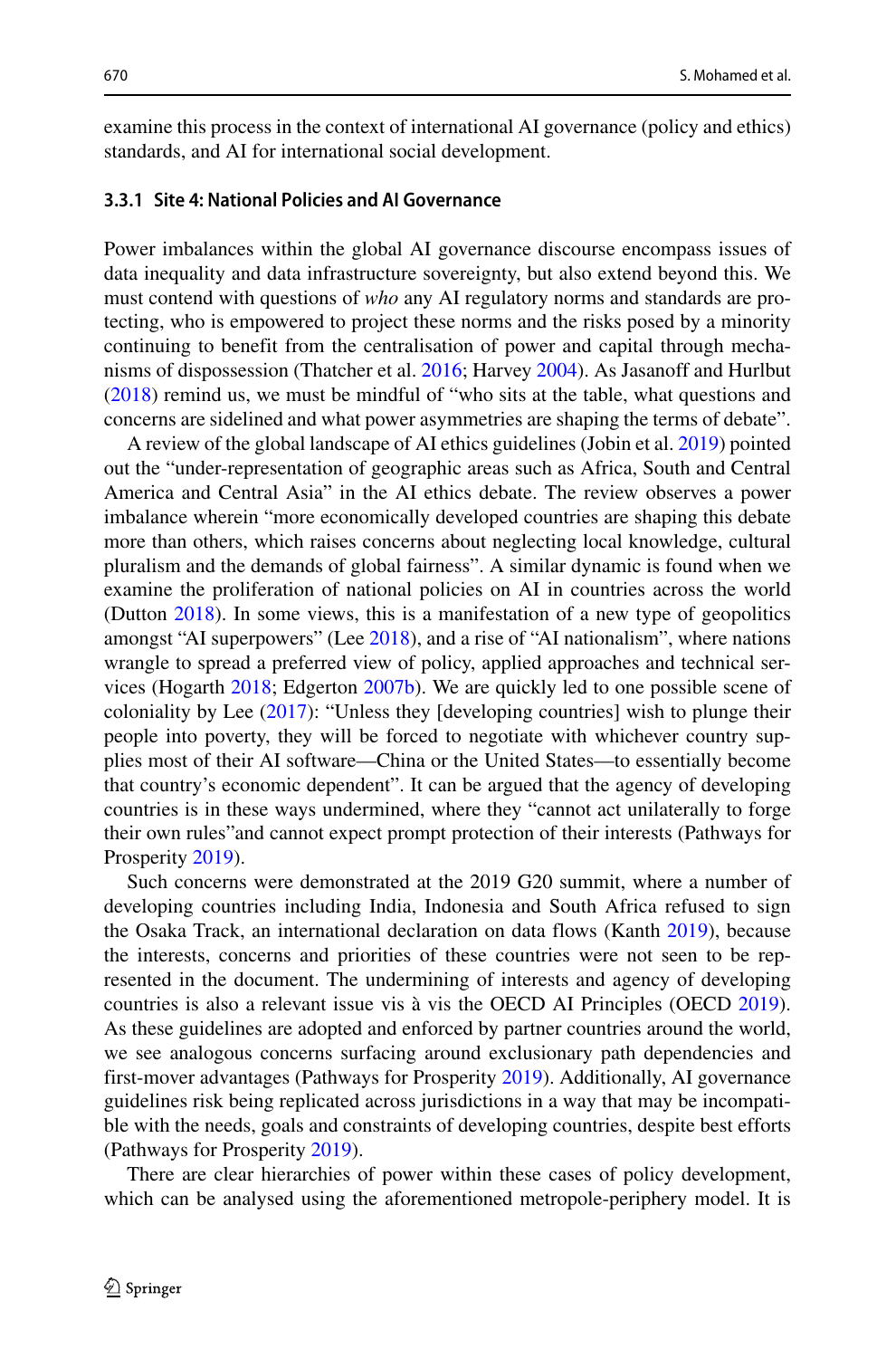examine this process in the context of international AI governance (policy and ethics) standards, and AI for international social development.

### **3.3.1 Site 4: National Policies and AI Governance**

Power imbalances within the global AI governance discourse encompass issues of data inequality and data infrastructure sovereignty, but also extend beyond this. We must contend with questions of *who* any AI regulatory norms and standards are protecting, who is empowered to project these norms and the risks posed by a minority continuing to benefit from the centralisation of power and capital through mechanisms of dispossession (Thatcher et al. [2016;](#page-24-8) Harvey [2004\)](#page-21-19). As Jasanoff and Hurlbut [\(2018\)](#page-22-16) remind us, we must be mindful of "who sits at the table, what questions and concerns are sidelined and what power asymmetries are shaping the terms of debate".

A review of the global landscape of AI ethics guidelines (Jobin et al. [2019\)](#page-22-17) pointed out the "under-representation of geographic areas such as Africa, South and Central America and Central Asia" in the AI ethics debate. The review observes a power imbalance wherein "more economically developed countries are shaping this debate more than others, which raises concerns about neglecting local knowledge, cultural pluralism and the demands of global fairness". A similar dynamic is found when we examine the proliferation of national policies on AI in countries across the world (Dutton [2018\)](#page-20-15). In some views, this is a manifestation of a new type of geopolitics amongst "AI superpowers" (Lee [2018\)](#page-22-18), and a rise of "AI nationalism", where nations wrangle to spread a preferred view of policy, applied approaches and technical services (Hogarth [2018;](#page-22-19) Edgerton [2007b\)](#page-20-16). We are quickly led to one possible scene of coloniality by Lee [\(2017\)](#page-22-20): "Unless they [developing countries] wish to plunge their people into poverty, they will be forced to negotiate with whichever country supplies most of their AI software—China or the United States—to essentially become that country's economic dependent". It can be argued that the agency of developing countries is in these ways undermined, where they "cannot act unilaterally to forge their own rules"and cannot expect prompt protection of their interests (Pathways for Prosperity [2019\)](#page-23-18).

Such concerns were demonstrated at the 2019 G20 summit, where a number of developing countries including India, Indonesia and South Africa refused to sign the Osaka Track, an international declaration on data flows (Kanth [2019\)](#page-22-21), because the interests, concerns and priorities of these countries were not seen to be represented in the document. The undermining of interests and agency of developing countries is also a relevant issue vis à vis the OECD AI Principles (OECD [2019\)](#page-23-19). As these guidelines are adopted and enforced by partner countries around the world, we see analogous concerns surfacing around exclusionary path dependencies and first-mover advantages (Pathways for Prosperity [2019\)](#page-23-18). Additionally, AI governance guidelines risk being replicated across jurisdictions in a way that may be incompatible with the needs, goals and constraints of developing countries, despite best efforts (Pathways for Prosperity [2019\)](#page-23-18).

There are clear hierarchies of power within these cases of policy development, which can be analysed using the aforementioned metropole-periphery model. It is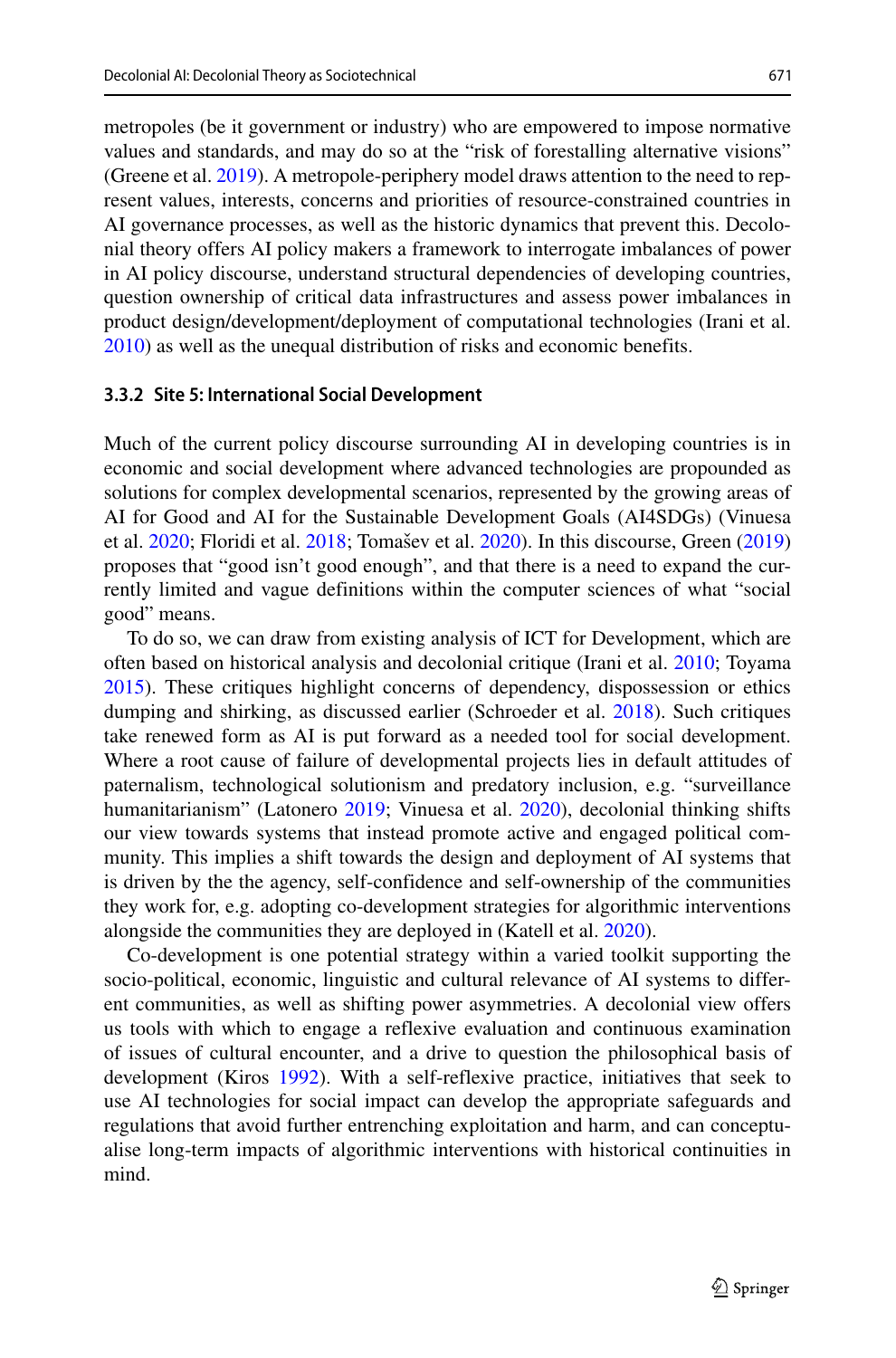metropoles (be it government or industry) who are empowered to impose normative values and standards, and may do so at the "risk of forestalling alternative visions" (Greene et al. [2019\)](#page-21-5). A metropole-periphery model draws attention to the need to represent values, interests, concerns and priorities of resource-constrained countries in AI governance processes, as well as the historic dynamics that prevent this. Decolonial theory offers AI policy makers a framework to interrogate imbalances of power in AI policy discourse, understand structural dependencies of developing countries, question ownership of critical data infrastructures and assess power imbalances in product design/development/deployment of computational technologies (Irani et al. [2010\)](#page-22-2) as well as the unequal distribution of risks and economic benefits.

#### **3.3.2 Site 5: International Social Development**

Much of the current policy discourse surrounding AI in developing countries is in economic and social development where advanced technologies are propounded as solutions for complex developmental scenarios, represented by the growing areas of AI for Good and AI for the Sustainable Development Goals (AI4SDGs) (Vinuesa et al.  $2020$ ; Floridi et al.  $2018$ ; Tomašev et al.  $2020$ ). In this discourse, Green [\(2019\)](#page-21-9) proposes that "good isn't good enough", and that there is a need to expand the currently limited and vague definitions within the computer sciences of what "social good" means.

To do so, we can draw from existing analysis of ICT for Development, which are often based on historical analysis and decolonial critique (Irani et al. [2010;](#page-22-2) Toyama [2015\)](#page-24-21). These critiques highlight concerns of dependency, dispossession or ethics dumping and shirking, as discussed earlier (Schroeder et al. [2018\)](#page-24-19). Such critiques take renewed form as AI is put forward as a needed tool for social development. Where a root cause of failure of developmental projects lies in default attitudes of paternalism, technological solutionism and predatory inclusion, e.g. "surveillance humanitarianism" (Latonero [2019;](#page-22-22) Vinuesa et al. [2020\)](#page-25-10), decolonial thinking shifts our view towards systems that instead promote active and engaged political community. This implies a shift towards the design and deployment of AI systems that is driven by the the agency, self-confidence and self-ownership of the communities they work for, e.g. adopting co-development strategies for algorithmic interventions alongside the communities they are deployed in (Katell et al. [2020\)](#page-22-23).

Co-development is one potential strategy within a varied toolkit supporting the socio-political, economic, linguistic and cultural relevance of AI systems to different communities, as well as shifting power asymmetries. A decolonial view offers us tools with which to engage a reflexive evaluation and continuous examination of issues of cultural encounter, and a drive to question the philosophical basis of development (Kiros [1992\)](#page-22-24). With a self-reflexive practice, initiatives that seek to use AI technologies for social impact can develop the appropriate safeguards and regulations that avoid further entrenching exploitation and harm, and can conceptualise long-term impacts of algorithmic interventions with historical continuities in mind.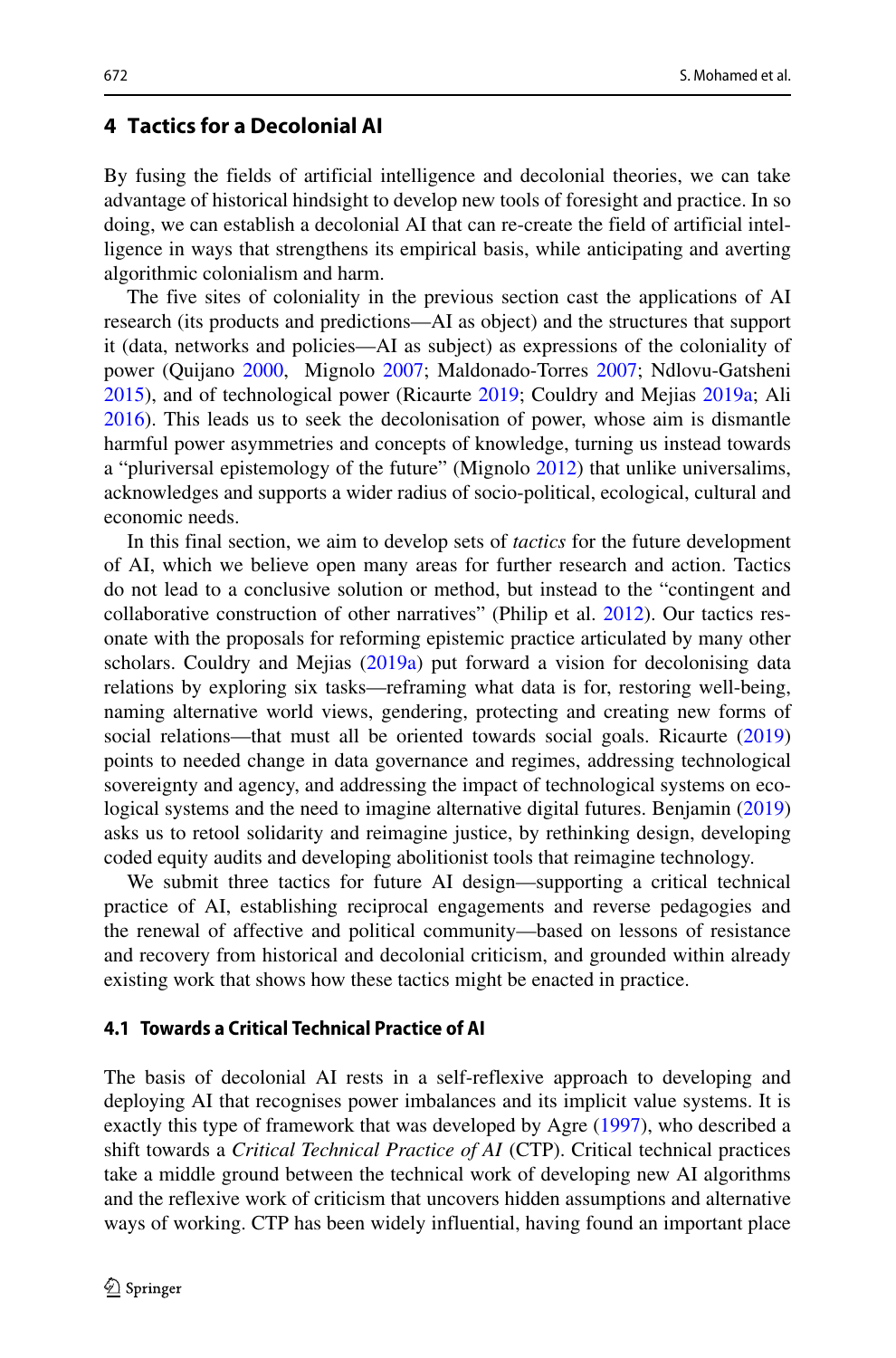# **4 Tactics for a Decolonial AI**

By fusing the fields of artificial intelligence and decolonial theories, we can take advantage of historical hindsight to develop new tools of foresight and practice. In so doing, we can establish a decolonial AI that can re-create the field of artificial intelligence in ways that strengthens its empirical basis, while anticipating and averting algorithmic colonialism and harm.

The five sites of coloniality in the previous section cast the applications of AI research (its products and predictions—AI as object) and the structures that support it (data, networks and policies—AI as subject) as expressions of the coloniality of power (Quijano [2000,](#page-23-10) Mignolo [2007;](#page-22-5) Maldonado-Torres [2007;](#page-22-6) Ndlovu-Gatsheni [2015\)](#page-23-11), and of technological power (Ricaurte [2019;](#page-23-7) Couldry and Mejias [2019a;](#page-20-5) Ali [2016\)](#page-19-6). This leads us to seek the decolonisation of power, whose aim is dismantle harmful power asymmetries and concepts of knowledge, turning us instead towards a "pluriversal epistemology of the future" (Mignolo [2012\)](#page-22-8) that unlike universalims, acknowledges and supports a wider radius of socio-political, ecological, cultural and economic needs.

In this final section, we aim to develop sets of *tactics* for the future development of AI, which we believe open many areas for further research and action. Tactics do not lead to a conclusive solution or method, but instead to the "contingent and collaborative construction of other narratives" (Philip et al. [2012\)](#page-23-20). Our tactics resonate with the proposals for reforming epistemic practice articulated by many other scholars. Couldry and Mejias [\(2019a\)](#page-20-5) put forward a vision for decolonising data relations by exploring six tasks—reframing what data is for, restoring well-being, naming alternative world views, gendering, protecting and creating new forms of social relations—that must all be oriented towards social goals. Ricaurte [\(2019\)](#page-23-7) points to needed change in data governance and regimes, addressing technological sovereignty and agency, and addressing the impact of technological systems on ecological systems and the need to imagine alternative digital futures. Benjamin [\(2019\)](#page-19-5) asks us to retool solidarity and reimagine justice, by rethinking design, developing coded equity audits and developing abolitionist tools that reimagine technology.

We submit three tactics for future AI design—supporting a critical technical practice of AI, establishing reciprocal engagements and reverse pedagogies and the renewal of affective and political community—based on lessons of resistance and recovery from historical and decolonial criticism, and grounded within already existing work that shows how these tactics might be enacted in practice.

#### **4.1 Towards a Critical Technical Practice of AI**

The basis of decolonial AI rests in a self-reflexive approach to developing and deploying AI that recognises power imbalances and its implicit value systems. It is exactly this type of framework that was developed by Agre [\(1997\)](#page-19-16), who described a shift towards a *Critical Technical Practice of AI* (CTP). Critical technical practices take a middle ground between the technical work of developing new AI algorithms and the reflexive work of criticism that uncovers hidden assumptions and alternative ways of working. CTP has been widely influential, having found an important place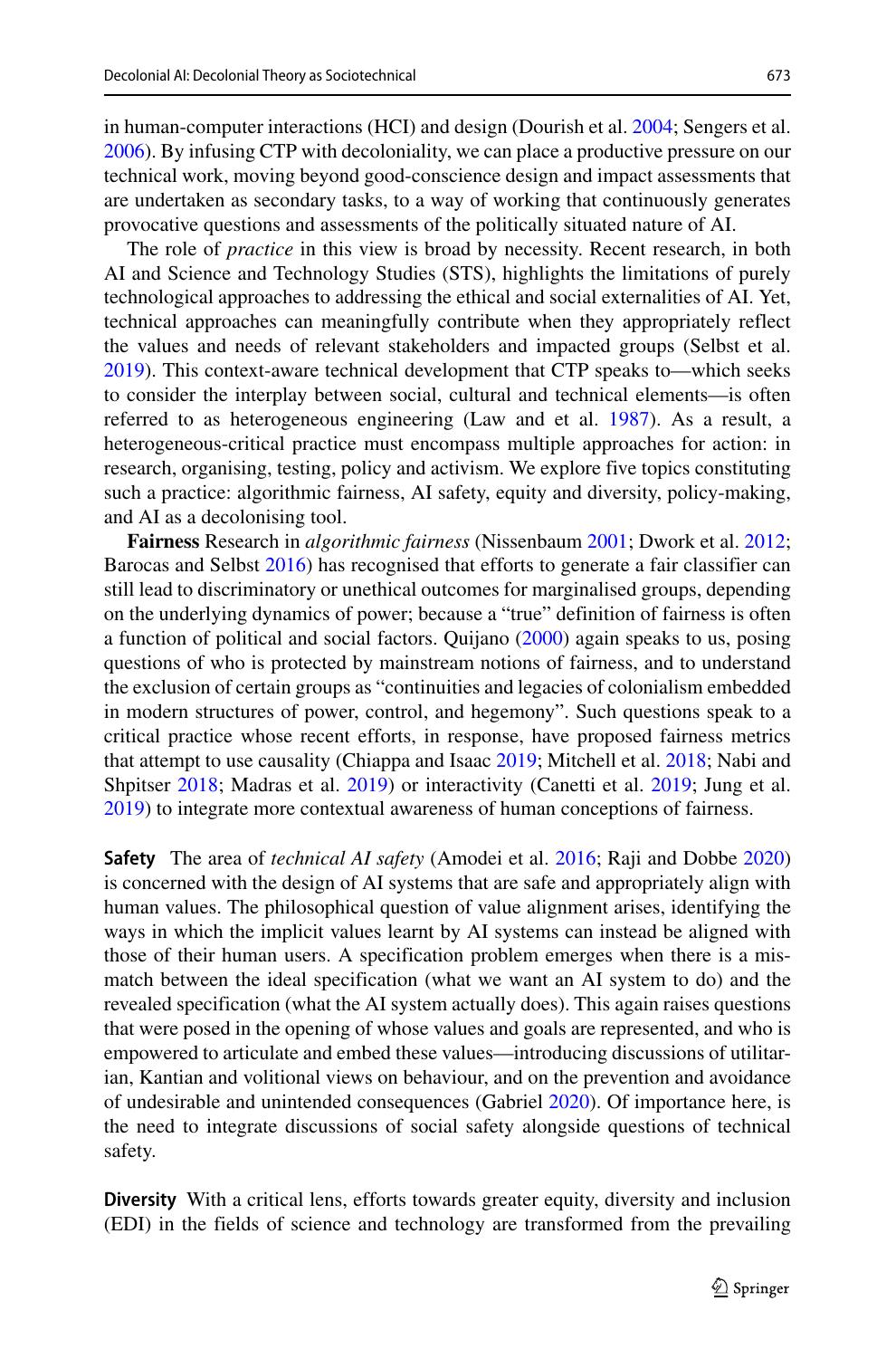in human-computer interactions (HCI) and design (Dourish et al. [2004;](#page-20-17) Sengers et al. [2006\)](#page-24-22). By infusing CTP with decoloniality, we can place a productive pressure on our technical work, moving beyond good-conscience design and impact assessments that are undertaken as secondary tasks, to a way of working that continuously generates provocative questions and assessments of the politically situated nature of AI.

The role of *practice* in this view is broad by necessity. Recent research, in both AI and Science and Technology Studies (STS), highlights the limitations of purely technological approaches to addressing the ethical and social externalities of AI. Yet, technical approaches can meaningfully contribute when they appropriately reflect the values and needs of relevant stakeholders and impacted groups (Selbst et al. [2019\)](#page-24-23). This context-aware technical development that CTP speaks to—which seeks to consider the interplay between social, cultural and technical elements—is often referred to as heterogeneous engineering (Law and et al. [1987\)](#page-22-25). As a result, a heterogeneous-critical practice must encompass multiple approaches for action: in research, organising, testing, policy and activism. We explore five topics constituting such a practice: algorithmic fairness, AI safety, equity and diversity, policy-making, and AI as a decolonising tool.

**Fairness** Research in *algorithmic fairness* (Nissenbaum [2001;](#page-23-2) Dwork et al. [2012;](#page-20-18) Barocas and Selbst [2016\)](#page-19-17) has recognised that efforts to generate a fair classifier can still lead to discriminatory or unethical outcomes for marginalised groups, depending on the underlying dynamics of power; because a "true" definition of fairness is often a function of political and social factors. Quijano [\(2000\)](#page-23-10) again speaks to us, posing questions of who is protected by mainstream notions of fairness, and to understand the exclusion of certain groups as "continuities and legacies of colonialism embedded in modern structures of power, control, and hegemony". Such questions speak to a critical practice whose recent efforts, in response, have proposed fairness metrics that attempt to use causality (Chiappa and Isaac [2019;](#page-20-19) Mitchell et al. [2018;](#page-23-21) Nabi and Shpitser [2018;](#page-23-22) Madras et al. [2019\)](#page-22-26) or interactivity (Canetti et al. [2019;](#page-20-20) Jung et al. [2019\)](#page-22-27) to integrate more contextual awareness of human conceptions of fairness.

**Safety** The area of *technical AI safety* (Amodei et al. [2016;](#page-19-18) Raji and Dobbe [2020\)](#page-23-23) is concerned with the design of AI systems that are safe and appropriately align with human values. The philosophical question of value alignment arises, identifying the ways in which the implicit values learnt by AI systems can instead be aligned with those of their human users. A specification problem emerges when there is a mismatch between the ideal specification (what we want an AI system to do) and the revealed specification (what the AI system actually does). This again raises questions that were posed in the opening of whose values and goals are represented, and who is empowered to articulate and embed these values—introducing discussions of utilitarian, Kantian and volitional views on behaviour, and on the prevention and avoidance of undesirable and unintended consequences (Gabriel [2020\)](#page-21-20). Of importance here, is the need to integrate discussions of social safety alongside questions of technical safety.

**Diversity** With a critical lens, efforts towards greater equity, diversity and inclusion (EDI) in the fields of science and technology are transformed from the prevailing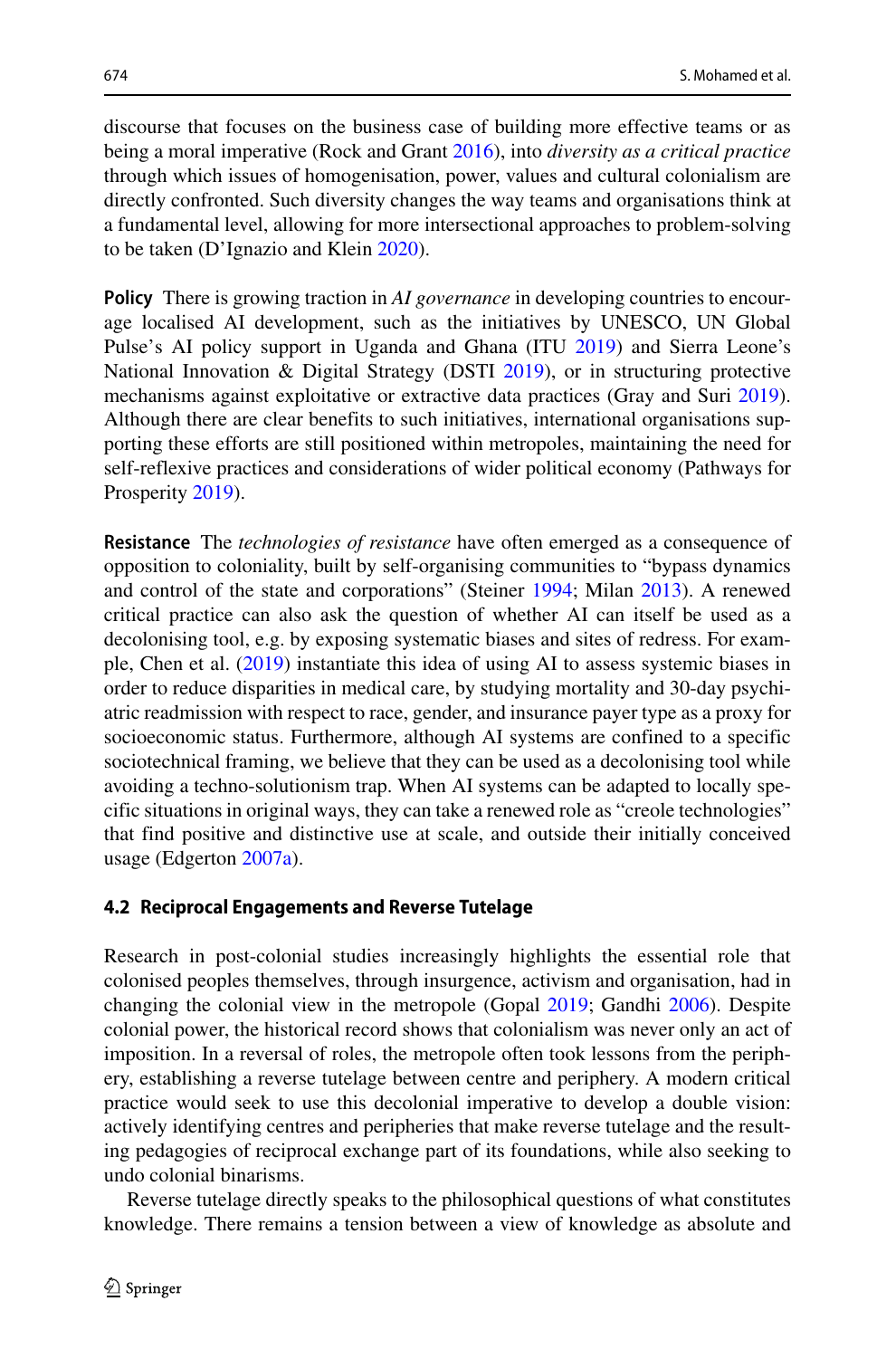discourse that focuses on the business case of building more effective teams or as being a moral imperative (Rock and Grant [2016\)](#page-24-24), into *diversity as a critical practice* through which issues of homogenisation, power, values and cultural colonialism are directly confronted. Such diversity changes the way teams and organisations think at a fundamental level, allowing for more intersectional approaches to problem-solving to be taken (D'Ignazio and Klein [2020\)](#page-20-4).

**Policy** There is growing traction in *AI governance* in developing countries to encourage localised AI development, such as the initiatives by UNESCO, UN Global Pulse's AI policy support in Uganda and Ghana (ITU [2019\)](#page-22-28) and Sierra Leone's National Innovation & Digital Strategy (DSTI [2019\)](#page-20-21), or in structuring protective mechanisms against exploitative or extractive data practices (Gray and Suri [2019\)](#page-21-8). Although there are clear benefits to such initiatives, international organisations supporting these efforts are still positioned within metropoles, maintaining the need for self-reflexive practices and considerations of wider political economy (Pathways for Prosperity [2019\)](#page-23-18).

**Resistance** The *technologies of resistance* have often emerged as a consequence of opposition to coloniality, built by self-organising communities to "bypass dynamics and control of the state and corporations" (Steiner [1994;](#page-24-25) Milan [2013\)](#page-23-24). A renewed critical practice can also ask the question of whether AI can itself be used as a decolonising tool, e.g. by exposing systematic biases and sites of redress. For example, Chen et al. [\(2019\)](#page-20-22) instantiate this idea of using AI to assess systemic biases in order to reduce disparities in medical care, by studying mortality and 30-day psychiatric readmission with respect to race, gender, and insurance payer type as a proxy for socioeconomic status. Furthermore, although AI systems are confined to a specific sociotechnical framing, we believe that they can be used as a decolonising tool while avoiding a techno-solutionism trap. When AI systems can be adapted to locally specific situations in original ways, they can take a renewed role as "creole technologies" that find positive and distinctive use at scale, and outside their initially conceived usage (Edgerton [2007a\)](#page-20-23).

### **4.2 Reciprocal Engagements and Reverse Tutelage**

Research in post-colonial studies increasingly highlights the essential role that colonised peoples themselves, through insurgence, activism and organisation, had in changing the colonial view in the metropole (Gopal [2019;](#page-21-13) Gandhi [2006\)](#page-21-21). Despite colonial power, the historical record shows that colonialism was never only an act of imposition. In a reversal of roles, the metropole often took lessons from the periphery, establishing a reverse tutelage between centre and periphery. A modern critical practice would seek to use this decolonial imperative to develop a double vision: actively identifying centres and peripheries that make reverse tutelage and the resulting pedagogies of reciprocal exchange part of its foundations, while also seeking to undo colonial binarisms.

Reverse tutelage directly speaks to the philosophical questions of what constitutes knowledge. There remains a tension between a view of knowledge as absolute and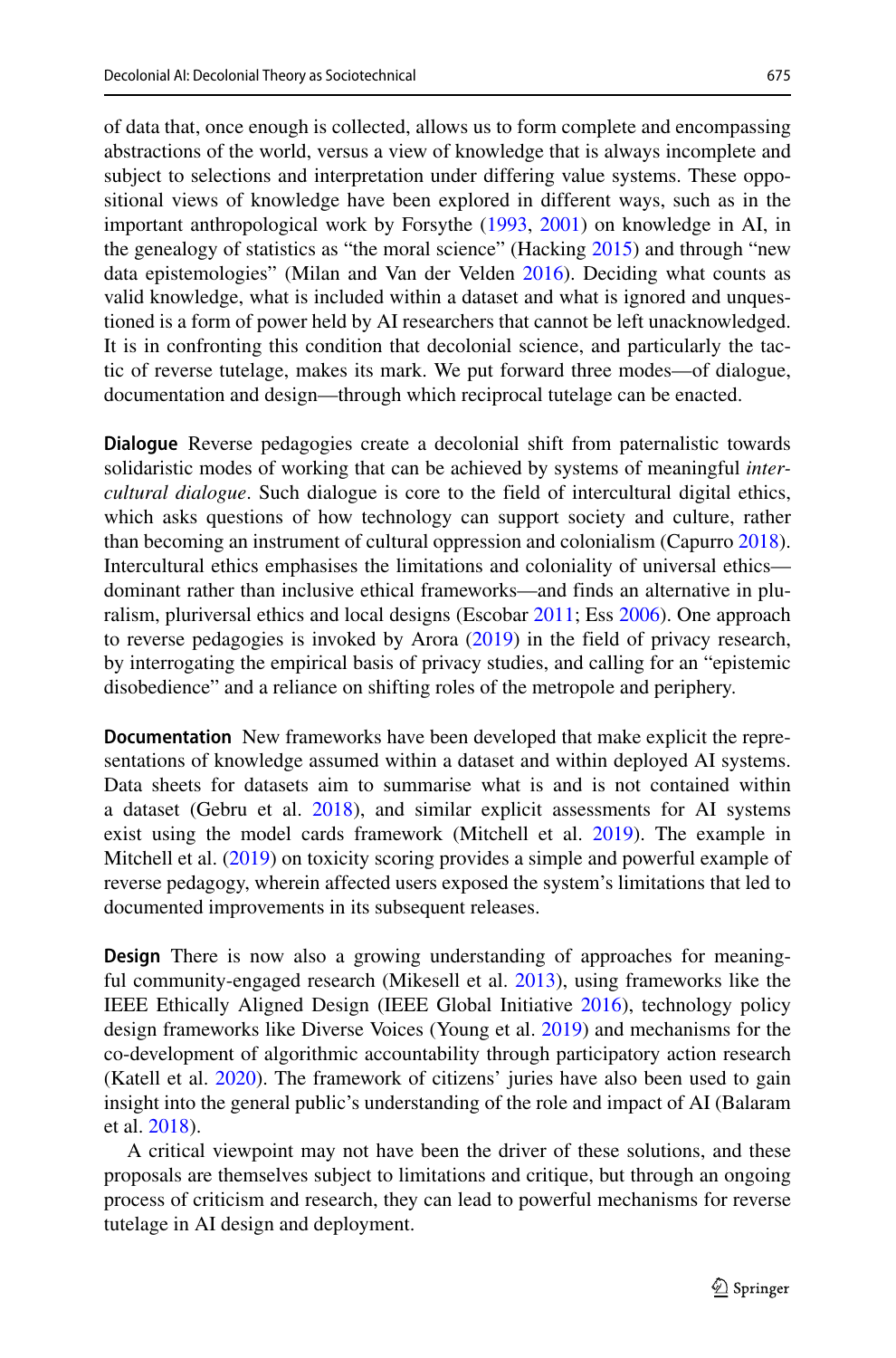of data that, once enough is collected, allows us to form complete and encompassing abstractions of the world, versus a view of knowledge that is always incomplete and subject to selections and interpretation under differing value systems. These oppositional views of knowledge have been explored in different ways, such as in the important anthropological work by Forsythe [\(1993,](#page-21-22) [2001\)](#page-21-23) on knowledge in AI, in the genealogy of statistics as "the moral science" (Hacking [2015\)](#page-21-24) and through "new data epistemologies" (Milan and Van der Velden [2016\)](#page-23-15). Deciding what counts as valid knowledge, what is included within a dataset and what is ignored and unquestioned is a form of power held by AI researchers that cannot be left unacknowledged. It is in confronting this condition that decolonial science, and particularly the tactic of reverse tutelage, makes its mark. We put forward three modes—of dialogue, documentation and design—through which reciprocal tutelage can be enacted.

**Dialogue** Reverse pedagogies create a decolonial shift from paternalistic towards solidaristic modes of working that can be achieved by systems of meaningful *intercultural dialogue*. Such dialogue is core to the field of intercultural digital ethics, which asks questions of how technology can support society and culture, rather than becoming an instrument of cultural oppression and colonialism (Capurro [2018\)](#page-20-24). Intercultural ethics emphasises the limitations and coloniality of universal ethics dominant rather than inclusive ethical frameworks—and finds an alternative in pluralism, pluriversal ethics and local designs (Escobar [2011;](#page-20-9) Ess [2006\)](#page-21-25). One approach to reverse pedagogies is invoked by Arora [\(2019\)](#page-19-19) in the field of privacy research, by interrogating the empirical basis of privacy studies, and calling for an "epistemic disobedience" and a reliance on shifting roles of the metropole and periphery.

**Documentation** New frameworks have been developed that make explicit the representations of knowledge assumed within a dataset and within deployed AI systems. Data sheets for datasets aim to summarise what is and is not contained within a dataset (Gebru et al. [2018\)](#page-21-26), and similar explicit assessments for AI systems exist using the model cards framework (Mitchell et al. [2019\)](#page-23-25). The example in Mitchell et al. [\(2019\)](#page-23-25) on toxicity scoring provides a simple and powerful example of reverse pedagogy, wherein affected users exposed the system's limitations that led to documented improvements in its subsequent releases.

**Design** There is now also a growing understanding of approaches for meaningful community-engaged research (Mikesell et al. [2013\)](#page-23-26), using frameworks like the IEEE Ethically Aligned Design (IEEE Global Initiative [2016\)](#page-22-29), technology policy design frameworks like Diverse Voices (Young et al. [2019\)](#page-25-11) and mechanisms for the co-development of algorithmic accountability through participatory action research (Katell et al. [2020\)](#page-22-23). The framework of citizens' juries have also been used to gain insight into the general public's understanding of the role and impact of AI (Balaram et al. [2018\)](#page-19-20).

A critical viewpoint may not have been the driver of these solutions, and these proposals are themselves subject to limitations and critique, but through an ongoing process of criticism and research, they can lead to powerful mechanisms for reverse tutelage in AI design and deployment.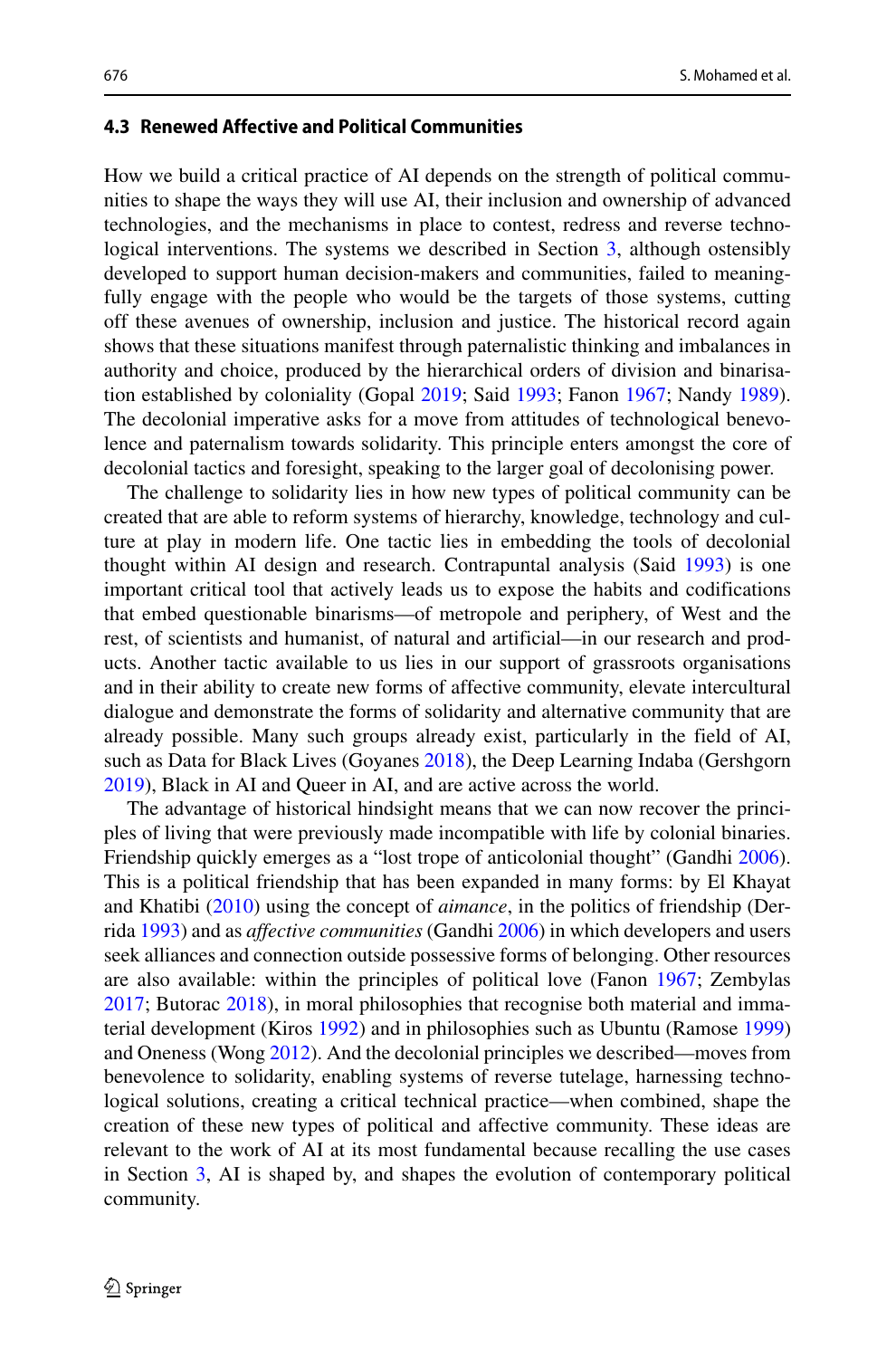### **4.3 Renewed Affective and Political Communities**

How we build a critical practice of AI depends on the strength of political communities to shape the ways they will use AI, their inclusion and ownership of advanced technologies, and the mechanisms in place to contest, redress and reverse technological interventions. The systems we described in Section [3,](#page-6-0) although ostensibly developed to support human decision-makers and communities, failed to meaningfully engage with the people who would be the targets of those systems, cutting off these avenues of ownership, inclusion and justice. The historical record again shows that these situations manifest through paternalistic thinking and imbalances in authority and choice, produced by the hierarchical orders of division and binarisation established by coloniality (Gopal [2019;](#page-21-13) Said [1993;](#page-24-7) Fanon [1967;](#page-21-27) Nandy [1989\)](#page-23-13). The decolonial imperative asks for a move from attitudes of technological benevolence and paternalism towards solidarity. This principle enters amongst the core of decolonial tactics and foresight, speaking to the larger goal of decolonising power.

The challenge to solidarity lies in how new types of political community can be created that are able to reform systems of hierarchy, knowledge, technology and culture at play in modern life. One tactic lies in embedding the tools of decolonial thought within AI design and research. Contrapuntal analysis (Said [1993\)](#page-24-7) is one important critical tool that actively leads us to expose the habits and codifications that embed questionable binarisms—of metropole and periphery, of West and the rest, of scientists and humanist, of natural and artificial—in our research and products. Another tactic available to us lies in our support of grassroots organisations and in their ability to create new forms of affective community, elevate intercultural dialogue and demonstrate the forms of solidarity and alternative community that are already possible. Many such groups already exist, particularly in the field of AI, such as Data for Black Lives (Goyanes [2018\)](#page-21-28), the Deep Learning Indaba (Gershgorn [2019\)](#page-21-29), Black in AI and Queer in AI, and are active across the world.

The advantage of historical hindsight means that we can now recover the principles of living that were previously made incompatible with life by colonial binaries. Friendship quickly emerges as a "lost trope of anticolonial thought" (Gandhi [2006\)](#page-21-21). This is a political friendship that has been expanded in many forms: by El Khayat and Khatibi [\(2010\)](#page-20-25) using the concept of *aimance*, in the politics of friendship (Derrida [1993\)](#page-20-26) and as *affective communities* (Gandhi [2006\)](#page-21-21) in which developers and users seek alliances and connection outside possessive forms of belonging. Other resources are also available: within the principles of political love (Fanon [1967;](#page-21-27) Zembylas [2017;](#page-25-12) Butorac [2018\)](#page-20-27), in moral philosophies that recognise both material and immaterial development (Kiros [1992\)](#page-22-24) and in philosophies such as Ubuntu (Ramose [1999\)](#page-23-27) and Oneness (Wong [2012\)](#page-25-13). And the decolonial principles we described—moves from benevolence to solidarity, enabling systems of reverse tutelage, harnessing technological solutions, creating a critical technical practice—when combined, shape the creation of these new types of political and affective community. These ideas are relevant to the work of AI at its most fundamental because recalling the use cases in Section [3,](#page-6-0) AI is shaped by, and shapes the evolution of contemporary political community.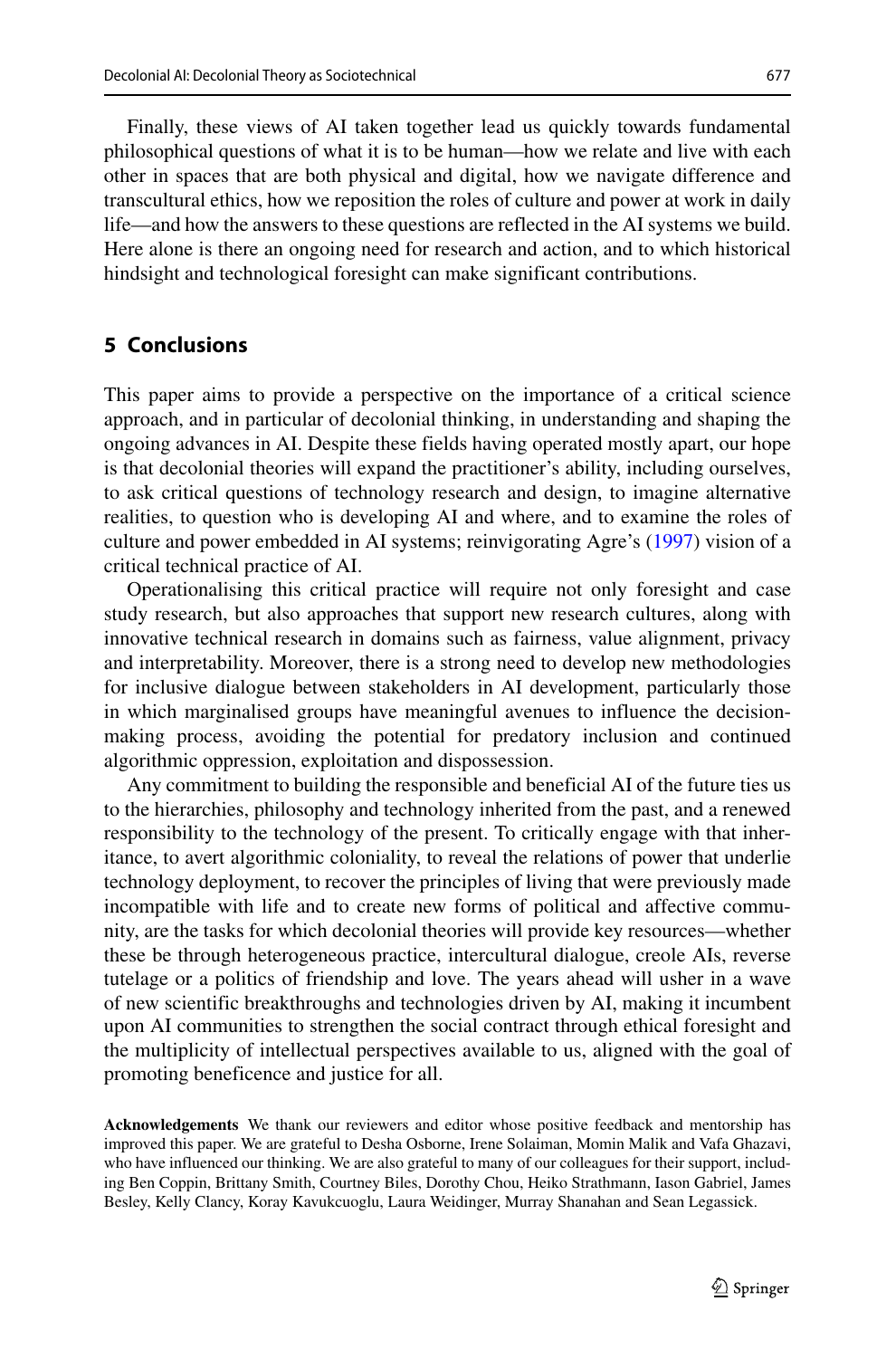Finally, these views of AI taken together lead us quickly towards fundamental philosophical questions of what it is to be human—how we relate and live with each other in spaces that are both physical and digital, how we navigate difference and transcultural ethics, how we reposition the roles of culture and power at work in daily life—and how the answers to these questions are reflected in the AI systems we build. Here alone is there an ongoing need for research and action, and to which historical hindsight and technological foresight can make significant contributions.

# **5 Conclusions**

This paper aims to provide a perspective on the importance of a critical science approach, and in particular of decolonial thinking, in understanding and shaping the ongoing advances in AI. Despite these fields having operated mostly apart, our hope is that decolonial theories will expand the practitioner's ability, including ourselves, to ask critical questions of technology research and design, to imagine alternative realities, to question who is developing AI and where, and to examine the roles of culture and power embedded in AI systems; reinvigorating Agre's [\(1997\)](#page-19-16) vision of a critical technical practice of AI.

Operationalising this critical practice will require not only foresight and case study research, but also approaches that support new research cultures, along with innovative technical research in domains such as fairness, value alignment, privacy and interpretability. Moreover, there is a strong need to develop new methodologies for inclusive dialogue between stakeholders in AI development, particularly those in which marginalised groups have meaningful avenues to influence the decisionmaking process, avoiding the potential for predatory inclusion and continued algorithmic oppression, exploitation and dispossession.

Any commitment to building the responsible and beneficial AI of the future ties us to the hierarchies, philosophy and technology inherited from the past, and a renewed responsibility to the technology of the present. To critically engage with that inheritance, to avert algorithmic coloniality, to reveal the relations of power that underlie technology deployment, to recover the principles of living that were previously made incompatible with life and to create new forms of political and affective community, are the tasks for which decolonial theories will provide key resources—whether these be through heterogeneous practice, intercultural dialogue, creole AIs, reverse tutelage or a politics of friendship and love. The years ahead will usher in a wave of new scientific breakthroughs and technologies driven by AI, making it incumbent upon AI communities to strengthen the social contract through ethical foresight and the multiplicity of intellectual perspectives available to us, aligned with the goal of promoting beneficence and justice for all.

**Acknowledgements** We thank our reviewers and editor whose positive feedback and mentorship has improved this paper. We are grateful to Desha Osborne, Irene Solaiman, Momin Malik and Vafa Ghazavi, who have influenced our thinking. We are also grateful to many of our colleagues for their support, including Ben Coppin, Brittany Smith, Courtney Biles, Dorothy Chou, Heiko Strathmann, Iason Gabriel, James Besley, Kelly Clancy, Koray Kavukcuoglu, Laura Weidinger, Murray Shanahan and Sean Legassick.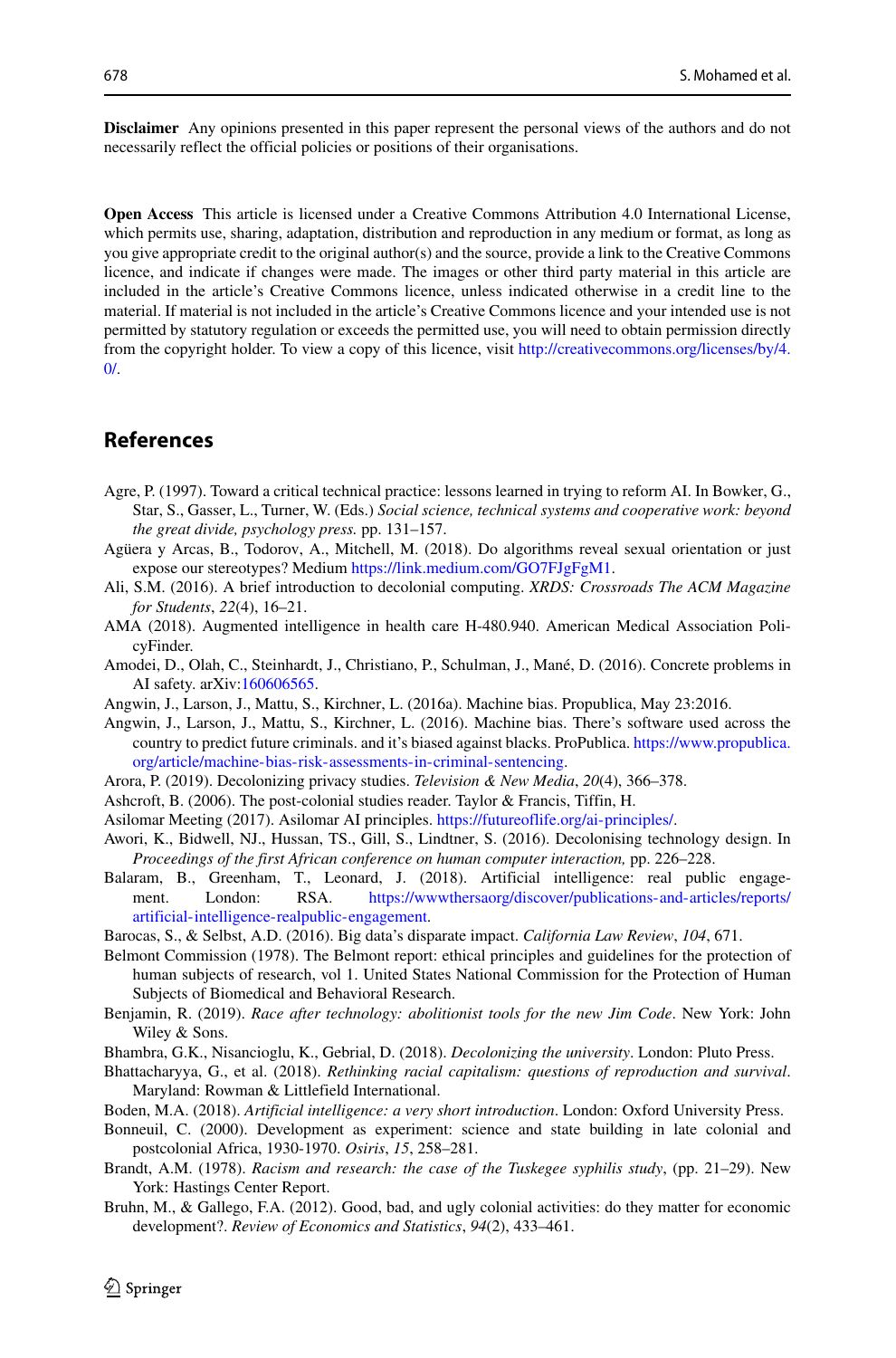**Disclaimer** Any opinions presented in this paper represent the personal views of the authors and do not necessarily reflect the official policies or positions of their organisations.

**Open Access** This article is licensed under a Creative Commons Attribution 4.0 International License, which permits use, sharing, adaptation, distribution and reproduction in any medium or format, as long as you give appropriate credit to the original author(s) and the source, provide a link to the Creative Commons licence, and indicate if changes were made. The images or other third party material in this article are included in the article's Creative Commons licence, unless indicated otherwise in a credit line to the material. If material is not included in the article's Creative Commons licence and your intended use is not permitted by statutory regulation or exceeds the permitted use, you will need to obtain permission directly from the copyright holder. To view a copy of this licence, visit [http://creativecommons.org/licenses/by/4.](http://creativecommons.org/licenses/by/4.0/)  $0/$ .

# **References**

- <span id="page-19-16"></span>Agre, P. (1997). Toward a critical technical practice: lessons learned in trying to reform AI. In Bowker, G., Star, S., Gasser, L., Turner, W. (Eds.) *Social science, technical systems and cooperative work: beyond the great divide, psychology press.* pp. 131–157.
- <span id="page-19-12"></span>Agüera y Arcas, B., Todorov, A., Mitchell, M. (2018). Do algorithms reveal sexual orientation or just expose our stereotypes? Medium [https://link.medium.com/GO7FJgFgM1.](https://link.medium.com/GO7FJgFgM1)
- <span id="page-19-6"></span>Ali, S.M. (2016). A brief introduction to decolonial computing. *XRDS: Crossroads The ACM Magazine for Students*, *22*(4), 16–21.
- <span id="page-19-4"></span>AMA (2018). Augmented intelligence in health care H-480.940. American Medical Association PolicyFinder.
- <span id="page-19-18"></span>Amodei, D., Olah, C., Steinhardt, J., Christiano, P., Schulman, J., Mane, D. (2016). Concrete problems in ´ AI safety. arXiv[:160606565.](http://arxiv.org/abs/160606565)
- <span id="page-19-7"></span>Angwin, J., Larson, J., Mattu, S., Kirchner, L. (2016a). Machine bias. Propublica, May 23:2016.
- <span id="page-19-11"></span>Angwin, J., Larson, J., Mattu, S., Kirchner, L. (2016). Machine bias. There's software used across the country to predict future criminals. and it's biased against blacks. ProPublica. [https://www.propublica.](https://www.propublica.org/article/machine-bias-risk-assessme nts-in-criminal-sentencing) [org/article/machine-bias-risk-assessments-in-criminal-sentencing.](https://www.propublica.org/article/machine-bias-risk-assessme nts-in-criminal-sentencing)
- <span id="page-19-19"></span>Arora, P. (2019). Decolonizing privacy studies. *Television & New Media*, *20*(4), 366–378.
- <span id="page-19-8"></span>Ashcroft, B. (2006). The post-colonial studies reader. Taylor & Francis, Tiffin, H.
- <span id="page-19-3"></span>Asilomar Meeting (2017). Asilomar AI principles. [https://futureoflife.org/ai-principles/.](https://futureoflife.org/ai-principles/)
- <span id="page-19-10"></span>Awori, K., Bidwell, NJ., Hussan, TS., Gill, S., Lindtner, S. (2016). Decolonising technology design. In *Proceedings of the first African conference on human computer interaction,* pp. 226–228.
- <span id="page-19-20"></span>Balaram, B., Greenham, T., Leonard, J. (2018). Artificial intelligence: real public engagement. London: RSA. [https://wwwthersaorg/discover/publications-and-articles/reports/](https://www thersa org/discover/publications-and-articles/reports/artificial-intelligence-realp ublic-engagement) [artificial-intelligence-realpublic-engagement.](https://www thersa org/discover/publications-and-articles/reports/artificial-intelligence-realp ublic-engagement)
- <span id="page-19-17"></span>Barocas, S., & Selbst, A.D. (2016). Big data's disparate impact. *California Law Review*, *104*, 671.
- <span id="page-19-2"></span>Belmont Commission (1978). The Belmont report: ethical principles and guidelines for the protection of human subjects of research, vol 1. United States National Commission for the Protection of Human Subjects of Biomedical and Behavioral Research.
- <span id="page-19-5"></span>Benjamin, R. (2019). *Race after technology: abolitionist tools for the new Jim Code*. New York: John Wiley & Sons.
- <span id="page-19-9"></span>Bhambra, G.K., Nisancioglu, K., Gebrial, D. (2018). *Decolonizing the university*. London: Pluto Press.
- <span id="page-19-13"></span>Bhattacharyya, G., et al. (2018). *Rethinking racial capitalism: questions of reproduction and survival*. Maryland: Rowman & Littlefield International.
- <span id="page-19-0"></span>Boden, M.A. (2018). *Artificial intelligence: a very short introduction*. London: Oxford University Press.
- <span id="page-19-15"></span>Bonneuil, C. (2000). Development as experiment: science and state building in late colonial and postcolonial Africa, 1930-1970. *Osiris*, *15*, 258–281.
- <span id="page-19-1"></span>Brandt, A.M. (1978). *Racism and research: the case of the Tuskegee syphilis study*, (pp. 21–29). New York: Hastings Center Report.
- <span id="page-19-14"></span>Bruhn, M., & Gallego, F.A. (2012). Good, bad, and ugly colonial activities: do they matter for economic development?. *Review of Economics and Statistics*, *94*(2), 433–461.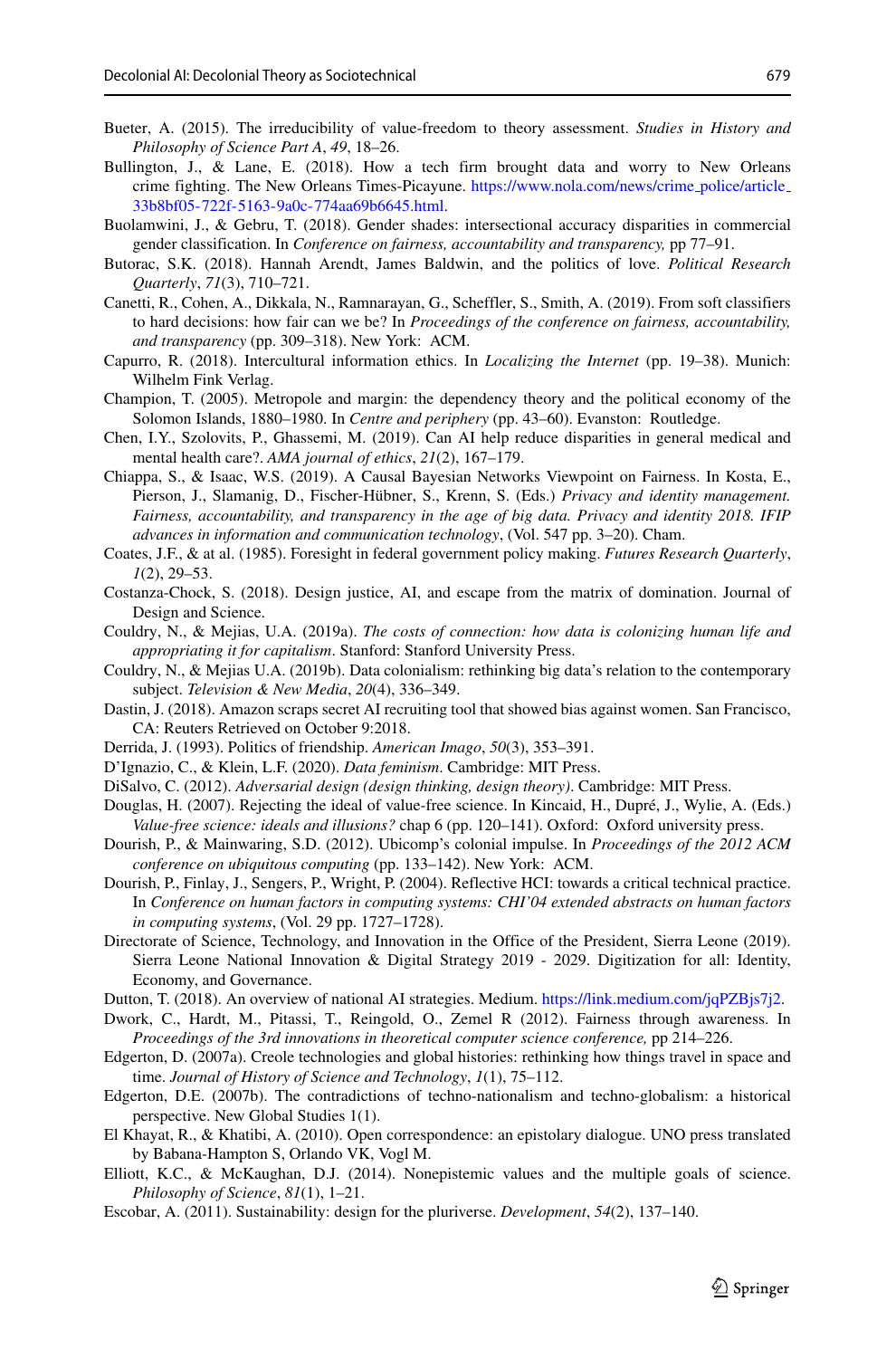- <span id="page-20-0"></span>Bueter, A. (2015). The irreducibility of value-freedom to theory assessment. *Studies in History and Philosophy of Science Part A*, *49*, 18–26.
- <span id="page-20-14"></span>Bullington, J., & Lane, E. (2018). How a tech firm brought data and worry to New Orleans crime fighting. The New Orleans Times-Picay[une.](https://www.nola.com/news/crime_police/article_33b8bf05-722f- 5163-9a0c-774aa69b6645.html) https://www.nola.com/news/crime police/article 33b8bf05-722f-5163-9a0c-774aa69b6645.html.
- <span id="page-20-7"></span>Buolamwini, J., & Gebru, T. (2018). Gender shades: intersectional accuracy disparities in commercial gender classification. In *Conference on fairness, accountability and transparency,* pp 77–91.
- <span id="page-20-27"></span>Butorac, S.K. (2018). Hannah Arendt, James Baldwin, and the politics of love. *Political Research Quarterly*, *71*(3), 710–721.
- <span id="page-20-20"></span>Canetti, R., Cohen, A., Dikkala, N., Ramnarayan, G., Scheffler, S., Smith, A. (2019). From soft classifiers to hard decisions: how fair can we be? In *Proceedings of the conference on fairness, accountability, and transparency* (pp. 309–318). New York: ACM.
- <span id="page-20-24"></span>Capurro, R. (2018). Intercultural information ethics. In *Localizing the Internet* (pp. 19–38). Munich: Wilhelm Fink Verlag.
- <span id="page-20-10"></span>Champion, T. (2005). Metropole and margin: the dependency theory and the political economy of the Solomon Islands, 1880–1980. In *Centre and periphery* (pp. 43–60). Evanston: Routledge.
- <span id="page-20-22"></span>Chen, I.Y., Szolovits, P., Ghassemi, M. (2019). Can AI help reduce disparities in general medical and mental health care?. *AMA journal of ethics*, *21*(2), 167–179.
- <span id="page-20-19"></span>Chiappa, S., & Isaac, W.S. (2019). A Causal Bayesian Networks Viewpoint on Fairness. In Kosta, E., Pierson, J., Slamanig, D., Fischer-Hübner, S., Krenn, S. (Eds.) *Privacy and identity management. Fairness, accountability, and transparency in the age of big data. Privacy and identity 2018. IFIP advances in information and communication technology*, (Vol. 547 pp. 3–20). Cham.
- <span id="page-20-8"></span>Coates, J.F., & at al. (1985). Foresight in federal government policy making. *Futures Research Quarterly*, *1*(2), 29–53.
- <span id="page-20-13"></span>Costanza-Chock, S. (2018). Design justice, AI, and escape from the matrix of domination. Journal of Design and Science.
- <span id="page-20-5"></span>Couldry, N., & Mejias, U.A. (2019a). *The costs of connection: how data is colonizing human life and appropriating it for capitalism*. Stanford: Stanford University Press.
- <span id="page-20-11"></span>Couldry, N., & Mejias U.A. (2019b). Data colonialism: rethinking big data's relation to the contemporary subject. *Television & New Media*, *20*(4), 336–349.
- <span id="page-20-12"></span>Dastin, J. (2018). Amazon scraps secret AI recruiting tool that showed bias against women. San Francisco, CA: Reuters Retrieved on October 9:2018.
- <span id="page-20-26"></span>Derrida, J. (1993). Politics of friendship. *American Imago*, *50*(3), 353–391.
- <span id="page-20-4"></span>D'Ignazio, C., & Klein, L.F. (2020). *Data feminism*. Cambridge: MIT Press.
- <span id="page-20-3"></span>DiSalvo, C. (2012). *Adversarial design (design thinking, design theory)*. Cambridge: MIT Press.
- <span id="page-20-2"></span>Douglas, H. (2007). Rejecting the ideal of value-free science. In Kincaid, H., Dupre, J., Wylie, A. (Eds.) ´ *Value-free science: ideals and illusions?* chap 6 (pp. 120–141). Oxford: Oxford university press.
- <span id="page-20-6"></span>Dourish, P., & Mainwaring, S.D. (2012). Ubicomp's colonial impulse. In *Proceedings of the 2012 ACM conference on ubiquitous computing* (pp. 133–142). New York: ACM.
- <span id="page-20-17"></span>Dourish, P., Finlay, J., Sengers, P., Wright, P. (2004). Reflective HCI: towards a critical technical practice. In *Conference on human factors in computing systems: CHI'04 extended abstracts on human factors in computing systems*, (Vol. 29 pp. 1727–1728).
- <span id="page-20-21"></span>Directorate of Science, Technology, and Innovation in the Office of the President, Sierra Leone (2019). Sierra Leone National Innovation & Digital Strategy 2019 - 2029. Digitization for all: Identity, Economy, and Governance.
- <span id="page-20-15"></span>Dutton, T. (2018). An overview of national AI strategies. Medium. [https://link.medium.com/jqPZBjs7j2.](https://link.medium.com/jqPZBjs7j2)
- <span id="page-20-18"></span>Dwork, C., Hardt, M., Pitassi, T., Reingold, O., Zemel R (2012). Fairness through awareness. In *Proceedings of the 3rd innovations in theoretical computer science conference,* pp 214–226.
- <span id="page-20-23"></span>Edgerton, D. (2007a). Creole technologies and global histories: rethinking how things travel in space and time. *Journal of History of Science and Technology*, *1*(1), 75–112.
- <span id="page-20-16"></span>Edgerton, D.E. (2007b). The contradictions of techno-nationalism and techno-globalism: a historical perspective. New Global Studies 1(1).
- <span id="page-20-25"></span>El Khayat, R., & Khatibi, A. (2010). Open correspondence: an epistolary dialogue. UNO press translated by Babana-Hampton S, Orlando VK, Vogl M.
- <span id="page-20-1"></span>Elliott, K.C., & McKaughan, D.J. (2014). Nonepistemic values and the multiple goals of science. *Philosophy of Science*, *81*(1), 1–21.
- <span id="page-20-9"></span>Escobar, A. (2011). Sustainability: design for the pluriverse. *Development*, *54*(2), 137–140.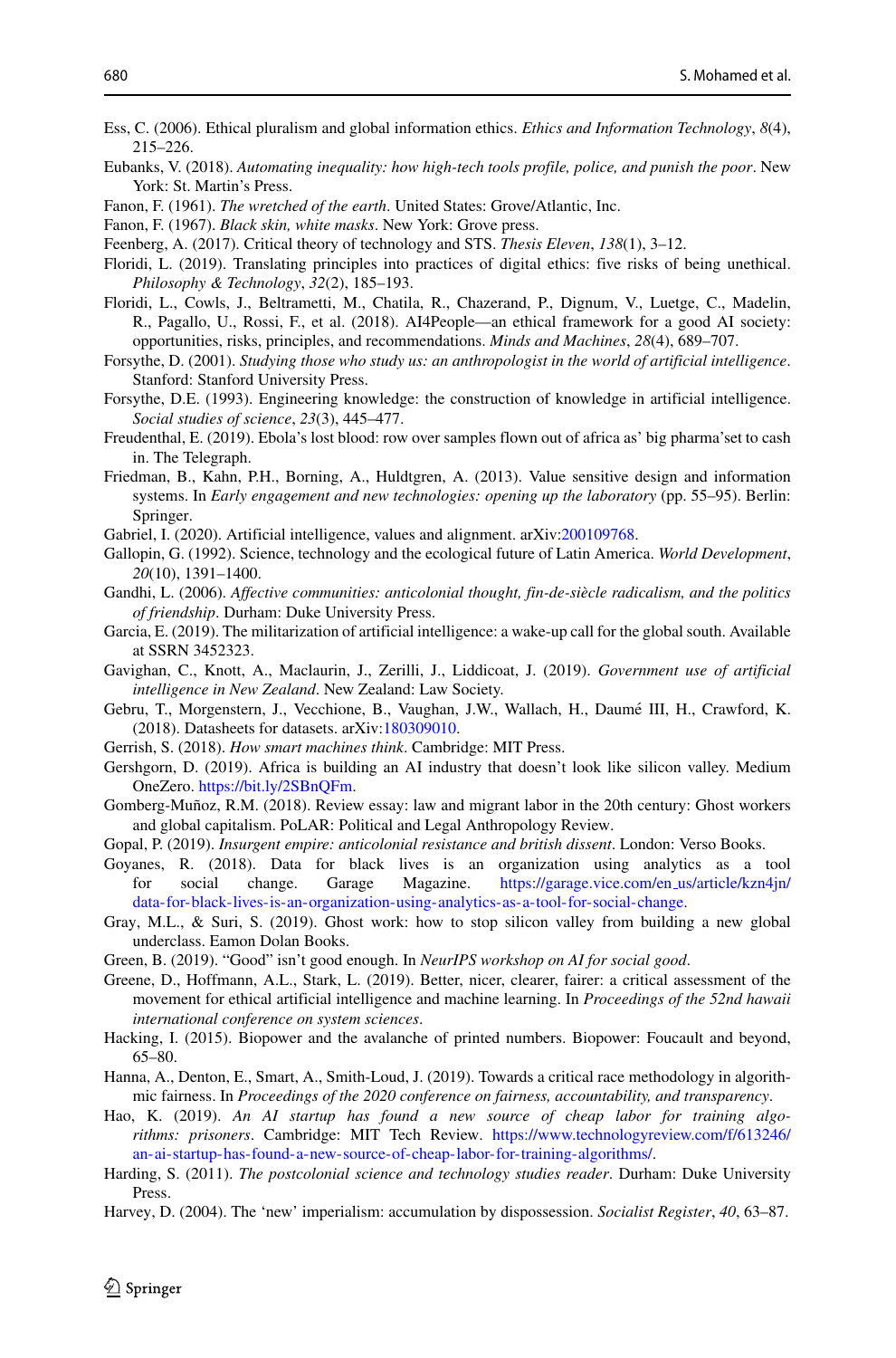- <span id="page-21-25"></span>Ess, C. (2006). Ethical pluralism and global information ethics. *Ethics and Information Technology*, *8*(4), 215–226.
- <span id="page-21-7"></span>Eubanks, V. (2018). *Automating inequality: how high-tech tools profile, police, and punish the poor*. New York: St. Martin's Press.
- <span id="page-21-12"></span>Fanon, F. (1961). *The wretched of the earth*. United States: Grove/Atlantic, Inc.
- <span id="page-21-27"></span>Fanon, F. (1967). *Black skin, white masks*. New York: Grove press.
- <span id="page-21-6"></span>Feenberg, A. (2017). Critical theory of technology and STS. *Thesis Eleven*, *138*(1), 3–12.
- <span id="page-21-18"></span>Floridi, L. (2019). Translating principles into practices of digital ethics: five risks of being unethical. *Philosophy & Technology*, *32*(2), 185–193.
- <span id="page-21-4"></span>Floridi, L., Cowls, J., Beltrametti, M., Chatila, R., Chazerand, P., Dignum, V., Luetge, C., Madelin, R., Pagallo, U., Rossi, F., et al. (2018). AI4People—an ethical framework for a good AI society: opportunities, risks, principles, and recommendations. *Minds and Machines*, *28*(4), 689–707.
- <span id="page-21-23"></span>Forsythe, D. (2001). *Studying those who study us: an anthropologist in the world of artificial intelligence*. Stanford: Stanford University Press.
- <span id="page-21-22"></span>Forsythe, D.E. (1993). Engineering knowledge: the construction of knowledge in artificial intelligence. *Social studies of science*, *23*(3), 445–477.
- <span id="page-21-2"></span>Freudenthal, E. (2019). Ebola's lost blood: row over samples flown out of africa as' big pharma'set to cash in. The Telegraph.
- <span id="page-21-1"></span>Friedman, B., Kahn, P.H., Borning, A., Huldtgren, A. (2013). Value sensitive design and information systems. In *Early engagement and new technologies: opening up the laboratory* (pp. 55–95). Berlin: Springer.
- <span id="page-21-20"></span>Gabriel, I. (2020). Artificial intelligence, values and alignment. arXiv[:200109768.](http://arxiv.org/abs/200109768)
- <span id="page-21-14"></span>Gallopin, G. (1992). Science, technology and the ecological future of Latin America. *World Development*, *20*(10), 1391–1400.
- <span id="page-21-21"></span>Gandhi, L. (2006). *Affective communities: anticolonial thought, fin-de-siècle radicalism, and the politics of friendship*. Durham: Duke University Press.
- <span id="page-21-3"></span>Garcia, E. (2019). The militarization of artificial intelligence: a wake-up call for the global south. Available at SSRN 3452323.
- <span id="page-21-15"></span>Gavighan, C., Knott, A., Maclaurin, J., Zerilli, J., Liddicoat, J. (2019). *Government use of artificial intelligence in New Zealand*. New Zealand: Law Society.
- <span id="page-21-26"></span>Gebru, T., Morgenstern, J., Vecchione, B., Vaughan, J.W., Wallach, H., Daume III, H., Crawford, K. ´ (2018). Datasheets for datasets. arXiv[:180309010.](http://arxiv.org/abs/180309010)
- <span id="page-21-0"></span>Gerrish, S. (2018). *How smart machines think*. Cambridge: MIT Press.
- <span id="page-21-29"></span>Gershgorn, D. (2019). Africa is building an AI industry that doesn't look like silicon valley. Medium OneZero. [https://bit.ly/2SBnQFm.](https://bit.ly/2SBnQFm)
- <span id="page-21-17"></span>Gomberg-Muñoz, R.M. (2018). Review essay: law and migrant labor in the 20th century: Ghost workers and global capitalism. PoLAR: Political and Legal Anthropology Review.
- <span id="page-21-13"></span>Gopal, P. (2019). *Insurgent empire: anticolonial resistance and british dissent*. London: Verso Books.
- <span id="page-21-28"></span>Goyanes, R. (2018). Data for black lives is an organization using analytics as a tool for social change. Garage Magazine. [https://garage.vice.com/en](https://garage.vice.com/en_us/article/kzn4jn/data-for-black-l ives-is-an-organization-using-analytics-as-a-tool-for-social-change) us/article/kzn4jn/ [data-for-black-lives-is-an-organization-using-analytics-as-a-tool-for-social-change.](https://garage.vice.com/en_us/article/kzn4jn/data-for-black-l ives-is-an-organization-using-analytics-as-a-tool-for-social-change)
- <span id="page-21-8"></span>Gray, M.L., & Suri, S. (2019). Ghost work: how to stop silicon valley from building a new global underclass. Eamon Dolan Books.
- <span id="page-21-9"></span>Green, B. (2019). "Good" isn't good enough. In *NeurIPS workshop on AI for social good*.
- <span id="page-21-5"></span>Greene, D., Hoffmann, A.L., Stark, L. (2019). Better, nicer, clearer, fairer: a critical assessment of the movement for ethical artificial intelligence and machine learning. In *Proceedings of the 52nd hawaii international conference on system sciences*.
- <span id="page-21-24"></span>Hacking, I. (2015). Biopower and the avalanche of printed numbers. Biopower: Foucault and beyond, 65–80.
- <span id="page-21-10"></span>Hanna, A., Denton, E., Smart, A., Smith-Loud, J. (2019). Towards a critical race methodology in algorithmic fairness. In *Proceedings of the 2020 conference on fairness, accountability, and transparency*.
- <span id="page-21-16"></span>Hao, K. (2019). *An AI startup has found a new source of cheap labor for training algorithms: prisoners*. Cambridge: MIT Tech Review. [https://www.technologyreview.com/f/613246/](https://www.technologyreview.com/f/613246/an-ai-startup-has-f ound-a-new-source-of-cheap-labor-for-training-algorithms/) [an-ai-startup-has-found-a-new-source-of-cheap-labor-for-training-algorithms/.](https://www.technologyreview.com/f/613246/an-ai-startup-has-f ound-a-new-source-of-cheap-labor-for-training-algorithms/)
- <span id="page-21-11"></span>Harding, S. (2011). *The postcolonial science and technology studies reader*. Durham: Duke University Press.
- <span id="page-21-19"></span>Harvey, D. (2004). The 'new' imperialism: accumulation by dispossession. *Socialist Register*, *40*, 63–87.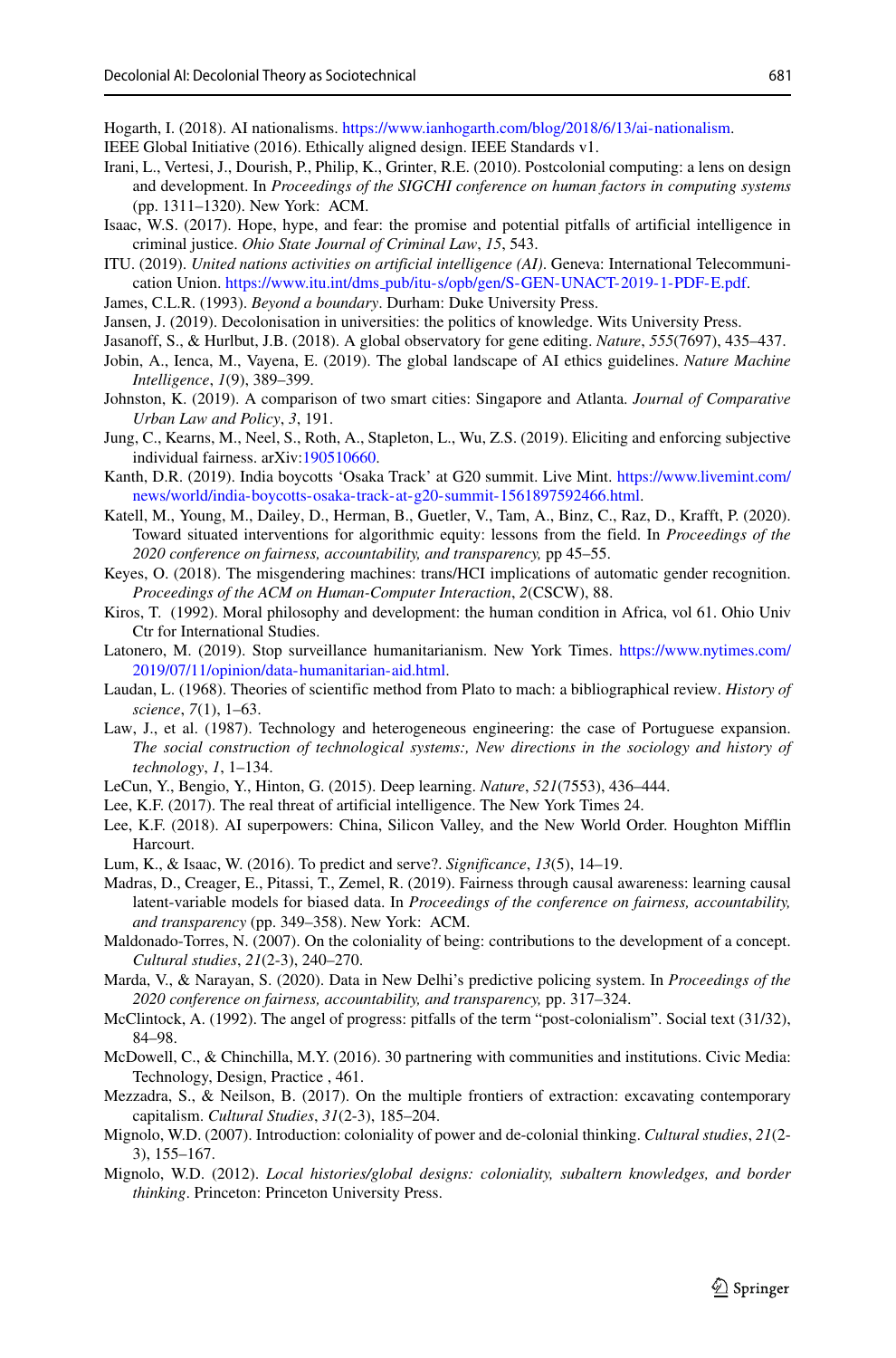<span id="page-22-19"></span>Hogarth, I. (2018). AI nationalisms. [https://www.ianhogarth.com/blog/2018/6/13/ai-nationalism.](https://www.ianhogarth.com/blog/2018/6/13/ai-nationalism)

<span id="page-22-29"></span>IEEE Global Initiative (2016). Ethically aligned design. IEEE Standards v1.

- <span id="page-22-2"></span>Irani, L., Vertesi, J., Dourish, P., Philip, K., Grinter, R.E. (2010). Postcolonial computing: a lens on design and development. In *Proceedings of the SIGCHI conference on human factors in computing systems* (pp. 1311–1320). New York: ACM.
- <span id="page-22-14"></span>Isaac, W.S. (2017). Hope, hype, and fear: the promise and potential pitfalls of artificial intelligence in criminal justice. *Ohio State Journal of Criminal Law*, *15*, 543.
- <span id="page-22-28"></span>ITU. (2019). *United nations activities on artificial intelligence (AI)*. Geneva: International Telecommunication Union. https://www.itu.int/dms [pub/itu-s/opb/gen/S-GEN-UNACT-2019-1-PDF-E.pdf.](https://www.itu.int/dms_pub/itu-s/opb/gen/S-GEN-UNACT-2019-1- PDF-E.pdf)
- <span id="page-22-11"></span>James, C.L.R. (1993). *Beyond a boundary*. Durham: Duke University Press.
- <span id="page-22-7"></span>Jansen, J. (2019). Decolonisation in universities: the politics of knowledge. Wits University Press.
- <span id="page-22-16"></span>Jasanoff, S., & Hurlbut, J.B. (2018). A global observatory for gene editing. *Nature*, *555*(7697), 435–437.
- <span id="page-22-17"></span>Jobin, A., Ienca, M., Vayena, E. (2019). The global landscape of AI ethics guidelines. *Nature Machine Intelligence*, *1*(9), 389–399.
- <span id="page-22-12"></span>Johnston, K. (2019). A comparison of two smart cities: Singapore and Atlanta. *Journal of Comparative Urban Law and Policy*, *3*, 191.
- <span id="page-22-27"></span>Jung, C., Kearns, M., Neel, S., Roth, A., Stapleton, L., Wu, Z.S. (2019). Eliciting and enforcing subjective individual fairness. arXiv[:190510660.](http://arxiv.org/abs/190510660)
- <span id="page-22-21"></span>Kanth, D.R. (2019). India boycotts 'Osaka Track' at G20 summit. Live Mint. [https://www.livemint.com/](https://www.livemint.com/news/world/india-boycotts-osaka-trac k-at-g20-summit-1561897592466.html) [news/world/india-boycotts-osaka-track-at-g20-summit-1561897592466.html.](https://www.livemint.com/news/world/india-boycotts-osaka-trac k-at-g20-summit-1561897592466.html)
- <span id="page-22-23"></span>Katell, M., Young, M., Dailey, D., Herman, B., Guetler, V., Tam, A., Binz, C., Raz, D., Krafft, P. (2020). Toward situated interventions for algorithmic equity: lessons from the field. In *Proceedings of the 2020 conference on fairness, accountability, and transparency,* pp 45–55.
- <span id="page-22-4"></span>Keyes, O. (2018). The misgendering machines: trans/HCI implications of automatic gender recognition. *Proceedings of the ACM on Human-Computer Interaction*, *2*(CSCW), 88.
- <span id="page-22-24"></span>Kiros, T. (1992). Moral philosophy and development: the human condition in Africa, vol 61. Ohio Univ Ctr for International Studies.
- <span id="page-22-22"></span>Latonero, M. (2019). Stop surveillance humanitarianism. New York Times. [https://www.nytimes.com/](https://www.nytimes.com/2019/07/11/opinion/data-humanitarian- aid.html) [2019/07/11/opinion/data-humanitarian-aid.html.](https://www.nytimes.com/2019/07/11/opinion/data-humanitarian- aid.html)
- <span id="page-22-1"></span>Laudan, L. (1968). Theories of scientific method from Plato to mach: a bibliographical review. *History of science*, *7*(1), 1–63.
- <span id="page-22-25"></span>Law, J., et al. (1987). Technology and heterogeneous engineering: the case of Portuguese expansion. *The social construction of technological systems:, New directions in the sociology and history of technology*, *1*, 1–134.
- <span id="page-22-0"></span>LeCun, Y., Bengio, Y., Hinton, G. (2015). Deep learning. *Nature*, *521*(7553), 436–444.
- <span id="page-22-20"></span>Lee, K.F. (2017). The real threat of artificial intelligence. The New York Times 24.
- <span id="page-22-18"></span>Lee, K.F. (2018). AI superpowers: China, Silicon Valley, and the New World Order. Houghton Mifflin Harcourt.
- <span id="page-22-3"></span>Lum, K., & Isaac, W. (2016). To predict and serve?. *Significance*, *13*(5), 14–19.
- <span id="page-22-26"></span>Madras, D., Creager, E., Pitassi, T., Zemel, R. (2019). Fairness through causal awareness: learning causal latent-variable models for biased data. In *Proceedings of the conference on fairness, accountability, and transparency* (pp. 349–358). New York: ACM.
- <span id="page-22-6"></span>Maldonado-Torres, N. (2007). On the coloniality of being: contributions to the development of a concept. *Cultural studies*, *21*(2-3), 240–270.
- <span id="page-22-13"></span>Marda, V., & Narayan, S. (2020). Data in New Delhi's predictive policing system. In *Proceedings of the 2020 conference on fairness, accountability, and transparency,* pp. 317–324.
- <span id="page-22-10"></span>McClintock, A. (1992). The angel of progress: pitfalls of the term "post-colonialism". Social text (31/32), 84–98.
- <span id="page-22-9"></span>McDowell, C., & Chinchilla, M.Y. (2016). 30 partnering with communities and institutions. Civic Media: Technology, Design, Practice , 461.
- <span id="page-22-15"></span>Mezzadra, S., & Neilson, B. (2017). On the multiple frontiers of extraction: excavating contemporary capitalism. *Cultural Studies*, *31*(2-3), 185–204.
- <span id="page-22-5"></span>Mignolo, W.D. (2007). Introduction: coloniality of power and de-colonial thinking. *Cultural studies*, *21*(2- 3), 155–167.
- <span id="page-22-8"></span>Mignolo, W.D. (2012). *Local histories/global designs: coloniality, subaltern knowledges, and border thinking*. Princeton: Princeton University Press.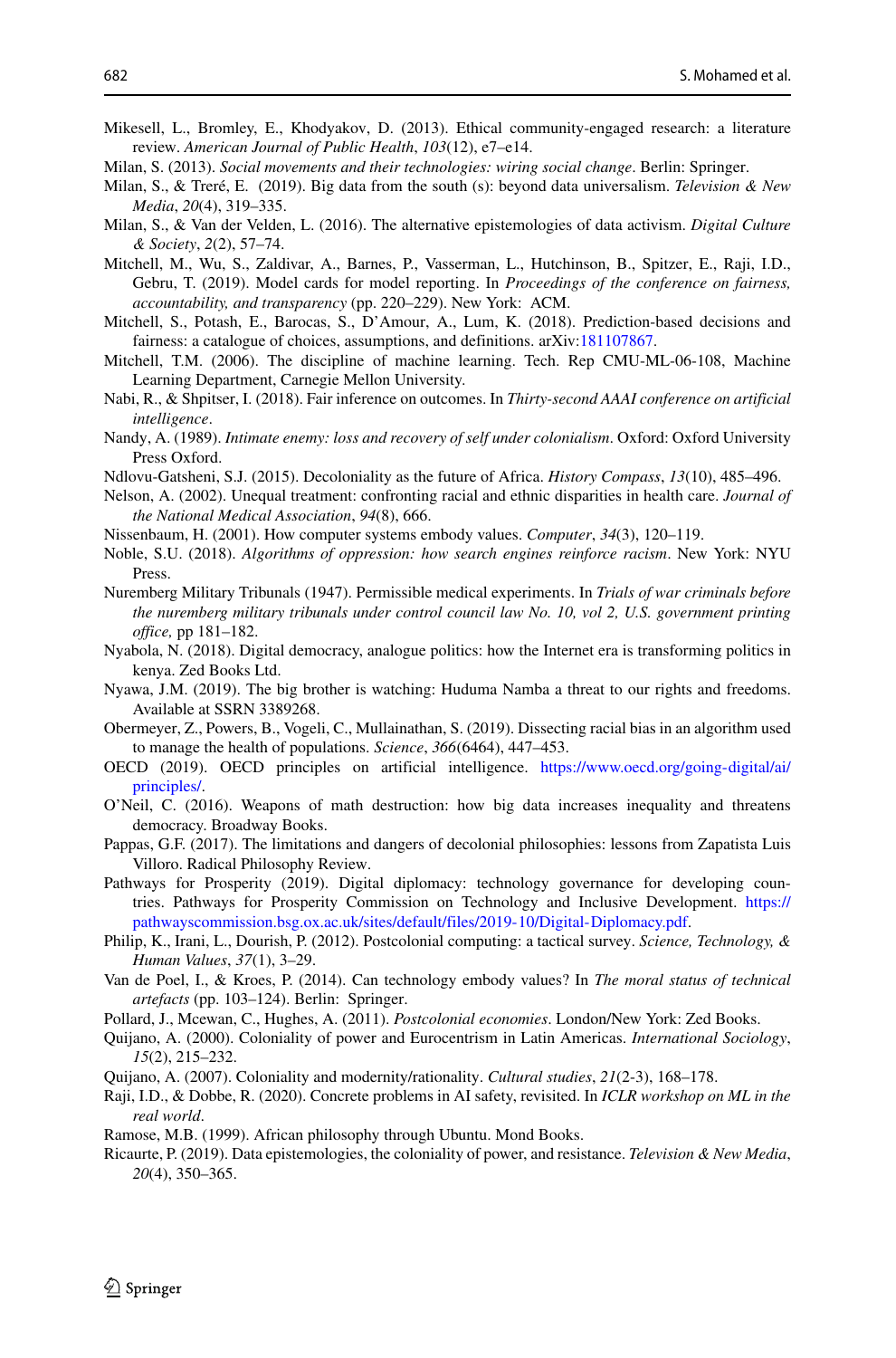- <span id="page-23-26"></span>Mikesell, L., Bromley, E., Khodyakov, D. (2013). Ethical community-engaged research: a literature review. *American Journal of Public Health*, *103*(12), e7–e14.
- <span id="page-23-24"></span>Milan, S. (2013). *Social movements and their technologies: wiring social change*. Berlin: Springer.
- <span id="page-23-8"></span>Milan, S., & Treré, E. (2019). Big data from the south (s): beyond data universalism. *Television & New Media*, *20*(4), 319–335.
- <span id="page-23-15"></span>Milan, S., & Van der Velden, L. (2016). The alternative epistemologies of data activism. *Digital Culture & Society*, *2*(2), 57–74.
- <span id="page-23-25"></span>Mitchell, M., Wu, S., Zaldivar, A., Barnes, P., Vasserman, L., Hutchinson, B., Spitzer, E., Raji, I.D., Gebru, T. (2019). Model cards for model reporting. In *Proceedings of the conference on fairness, accountability, and transparency* (pp. 220–229). New York: ACM.
- <span id="page-23-21"></span>Mitchell, S., Potash, E., Barocas, S., D'Amour, A., Lum, K. (2018). Prediction-based decisions and fairness: a catalogue of choices, assumptions, and definitions. arXiv[:181107867.](http://arxiv.org/abs/181107867)
- <span id="page-23-1"></span>Mitchell, T.M. (2006). The discipline of machine learning. Tech. Rep CMU-ML-06-108, Machine Learning Department, Carnegie Mellon University.
- <span id="page-23-22"></span>Nabi, R., & Shpitser, I. (2018). Fair inference on outcomes. In *Thirty-second AAAI conference on artificial intelligence*.
- <span id="page-23-13"></span>Nandy, A. (1989). *Intimate enemy: loss and recovery of self under colonialism*. Oxford: Oxford University Press Oxford.
- <span id="page-23-11"></span>Ndlovu-Gatsheni, S.J. (2015). Decoloniality as the future of Africa. *History Compass*, *13*(10), 485–496.
- <span id="page-23-6"></span>Nelson, A. (2002). Unequal treatment: confronting racial and ethnic disparities in health care. *Journal of the National Medical Association*, *94*(8), 666.
- <span id="page-23-2"></span>Nissenbaum, H. (2001). How computer systems embody values. *Computer*, *34*(3), 120–119.
- <span id="page-23-9"></span>Noble, S.U. (2018). *Algorithms of oppression: how search engines reinforce racism*. New York: NYU Press.
- <span id="page-23-4"></span>Nuremberg Military Tribunals (1947). Permissible medical experiments. In *Trials of war criminals before the nuremberg military tribunals under control council law No. 10, vol 2, U.S. government printing office,* pp 181–182.
- <span id="page-23-17"></span>Nyabola, N. (2018). Digital democracy, analogue politics: how the Internet era is transforming politics in kenya. Zed Books Ltd.
- <span id="page-23-16"></span>Nyawa, J.M. (2019). The big brother is watching: Huduma Namba a threat to our rights and freedoms. Available at SSRN 3389268.
- <span id="page-23-5"></span>Obermeyer, Z., Powers, B., Vogeli, C., Mullainathan, S. (2019). Dissecting racial bias in an algorithm used to manage the health of populations. *Science*, *366*(6464), 447–453.
- <span id="page-23-19"></span>OECD (2019). OECD principles on artificial intelligence. [https://www.oecd.org/going-digital/ai/](https://www.oecd.org/going-digital/ai/principles/) [principles/.](https://www.oecd.org/going-digital/ai/principles/)
- <span id="page-23-0"></span>O'Neil, C. (2016). Weapons of math destruction: how big data increases inequality and threatens democracy. Broadway Books.
- <span id="page-23-12"></span>Pappas, G.F. (2017). The limitations and dangers of decolonial philosophies: lessons from Zapatista Luis Villoro. Radical Philosophy Review.
- <span id="page-23-18"></span>Pathways for Prosperity (2019). Digital diplomacy: technology governance for developing countries. Pathways for Prosperity Commission on Technology and Inclusive Development. [https://](https://pathwayscommission.bsg.ox.ac.uk/sites/default/files/2 019-10/Digital-Diplomacy.pdf) [pathwayscommission.bsg.ox.ac.uk/sites/default/files/2019-10/Digital-Diplomacy.pdf.](https://pathwayscommission.bsg.ox.ac.uk/sites/default/files/2 019-10/Digital-Diplomacy.pdf)
- <span id="page-23-20"></span>Philip, K., Irani, L., Dourish, P. (2012). Postcolonial computing: a tactical survey. *Science, Technology, & Human Values*, *37*(1), 3–29.
- <span id="page-23-3"></span>Van de Poel, I., & Kroes, P. (2014). Can technology embody values? In *The moral status of technical artefacts* (pp. 103–124). Berlin: Springer.
- <span id="page-23-14"></span>Pollard, J., Mcewan, C., Hughes, A. (2011). *Postcolonial economies*. London/New York: Zed Books.
- <span id="page-23-10"></span>Quijano, A. (2000). Coloniality of power and Eurocentrism in Latin Americas. *International Sociology*, *15*(2), 215–232.
- Quijano, A. (2007). Coloniality and modernity/rationality. *Cultural studies*, *21*(2-3), 168–178.
- <span id="page-23-23"></span>Raji, I.D., & Dobbe, R. (2020). Concrete problems in AI safety, revisited. In *ICLR workshop on ML in the real world*.
- <span id="page-23-27"></span>Ramose, M.B. (1999). African philosophy through Ubuntu. Mond Books.
- <span id="page-23-7"></span>Ricaurte, P. (2019). Data epistemologies, the coloniality of power, and resistance. *Television & New Media*, *20*(4), 350–365.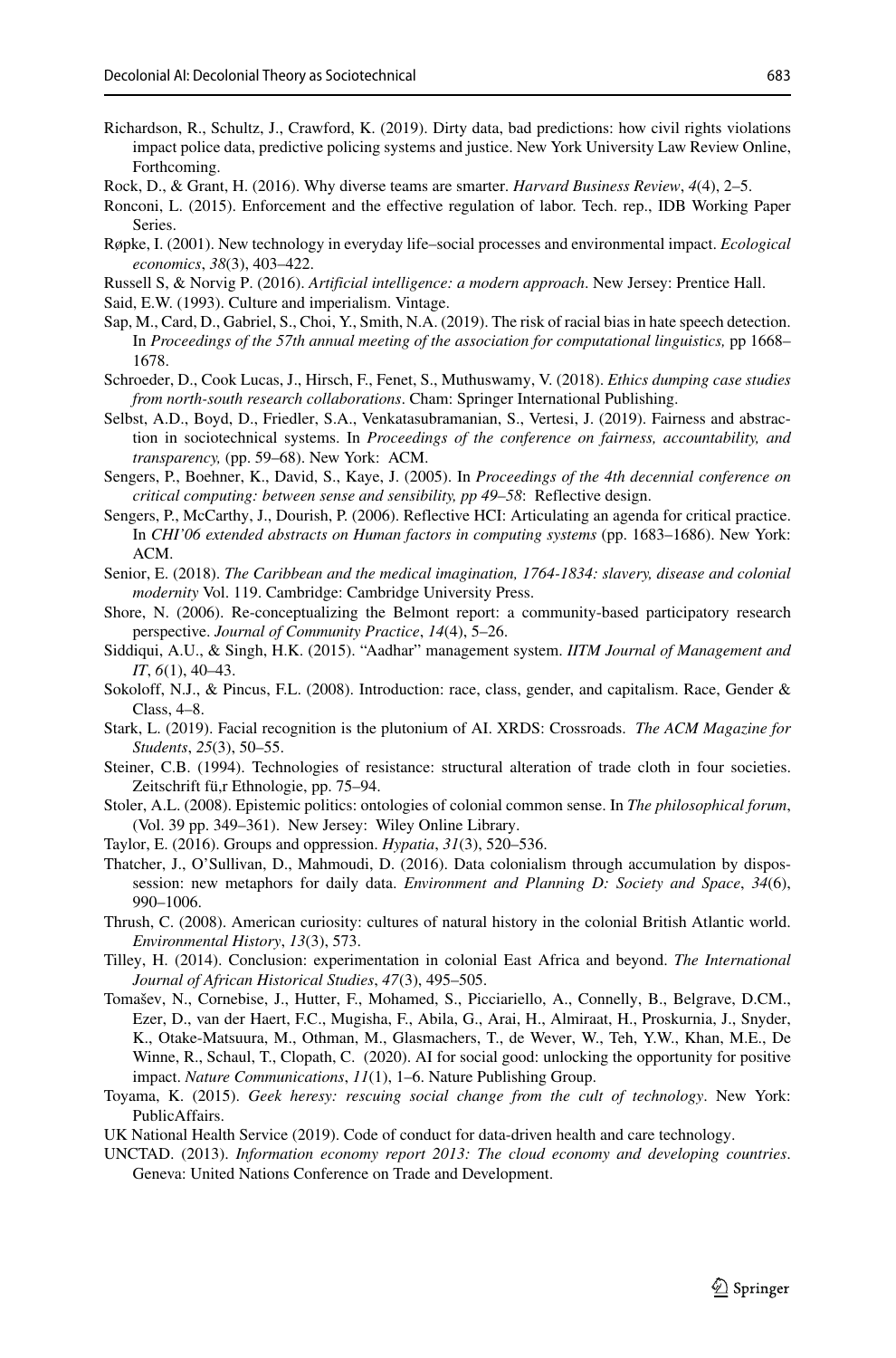- <span id="page-24-12"></span>Richardson, R., Schultz, J., Crawford, K. (2019). Dirty data, bad predictions: how civil rights violations impact police data, predictive policing systems and justice. New York University Law Review Online, Forthcoming.
- <span id="page-24-24"></span>Rock, D., & Grant, H. (2016). Why diverse teams are smarter. *Harvard Business Review*, *4*(4), 2–5.
- <span id="page-24-15"></span>Ronconi, L. (2015). Enforcement and the effective regulation of labor. Tech. rep., IDB Working Paper **Series**
- <span id="page-24-9"></span>Røpke, I. (2001). New technology in everyday life–social processes and environmental impact. *Ecological economics*, *38*(3), 403–422.
- <span id="page-24-0"></span>Russell S, & Norvig P. (2016). *Artificial intelligence: a modern approach*. New Jersey: Prentice Hall.

<span id="page-24-7"></span>Said, E.W. (1993). Culture and imperialism. Vintage.

- <span id="page-24-13"></span>Sap, M., Card, D., Gabriel, S., Choi, Y., Smith, N.A. (2019). The risk of racial bias in hate speech detection. In *Proceedings of the 57th annual meeting of the association for computational linguistics,* pp 1668– 1678.
- <span id="page-24-19"></span>Schroeder, D., Cook Lucas, J., Hirsch, F., Fenet, S., Muthuswamy, V. (2018). *Ethics dumping case studies from north-south research collaborations*. Cham: Springer International Publishing.
- <span id="page-24-23"></span>Selbst, A.D., Boyd, D., Friedler, S.A., Venkatasubramanian, S., Vertesi, J. (2019). Fairness and abstraction in sociotechnical systems. In *Proceedings of the conference on fairness, accountability, and transparency,* (pp. 59–68). New York: ACM.
- <span id="page-24-1"></span>Sengers, P., Boehner, K., David, S., Kaye, J. (2005). In *Proceedings of the 4th decennial conference on critical computing: between sense and sensibility, pp 49–58*: Reflective design.
- <span id="page-24-22"></span>Sengers, P., McCarthy, J., Dourish, P. (2006). Reflective HCI: Articulating an agenda for critical practice. In *CHI'06 extended abstracts on Human factors in computing systems* (pp. 1683–1686). New York: ACM.
- <span id="page-24-16"></span>Senior, E. (2018). *The Caribbean and the medical imagination, 1764-1834: slavery, disease and colonial modernity* Vol. 119. Cambridge: Cambridge University Press.
- <span id="page-24-2"></span>Shore, N. (2006). Re-conceptualizing the Belmont report: a community-based participatory research perspective. *Journal of Community Practice*, *14*(4), 5–26.
- <span id="page-24-11"></span>Siddiqui, A.U., & Singh, H.K. (2015). "Aadhar" management system. *IITM Journal of Management and IT*, *6*(1), 40–43.
- <span id="page-24-14"></span>Sokoloff, N.J., & Pincus, F.L. (2008). Introduction: race, class, gender, and capitalism. Race, Gender & Class, 4–8.
- <span id="page-24-4"></span>Stark, L. (2019). Facial recognition is the plutonium of AI. XRDS: Crossroads. *The ACM Magazine for Students*, *25*(3), 50–55.
- <span id="page-24-25"></span>Steiner, C.B. (1994). Technologies of resistance: structural alteration of trade cloth in four societies. Zeitschrift fü,r Ethnologie, pp. 75–94.
- <span id="page-24-5"></span>Stoler, A.L. (2008). Epistemic politics: ontologies of colonial common sense. In *The philosophical forum*, (Vol. 39 pp. 349–361). New Jersey: Wiley Online Library.
- <span id="page-24-10"></span>Taylor, E. (2016). Groups and oppression. *Hypatia*, *31*(3), 520–536.
- <span id="page-24-8"></span>Thatcher, J., O'Sullivan, D., Mahmoudi, D. (2016). Data colonialism through accumulation by dispossession: new metaphors for daily data. *Environment and Planning D: Society and Space*, *34*(6), 990–1006.
- <span id="page-24-6"></span>Thrush, C. (2008). American curiosity: cultures of natural history in the colonial British Atlantic world. *Environmental History*, *13*(3), 573.
- <span id="page-24-17"></span>Tilley, H. (2014). Conclusion: experimentation in colonial East Africa and beyond. *The International Journal of African Historical Studies*, *47*(3), 495–505.
- <span id="page-24-20"></span>Tomašev, N., Cornebise, J., Hutter, F., Mohamed, S., Picciariello, A., Connelly, B., Belgrave, D.CM., Ezer, D., van der Haert, F.C., Mugisha, F., Abila, G., Arai, H., Almiraat, H., Proskurnia, J., Snyder, K., Otake-Matsuura, M., Othman, M., Glasmachers, T., de Wever, W., Teh, Y.W., Khan, M.E., De Winne, R., Schaul, T., Clopath, C. (2020). AI for social good: unlocking the opportunity for positive impact. *Nature Communications*, *11*(1), 1–6. Nature Publishing Group.
- <span id="page-24-21"></span>Toyama, K. (2015). *Geek heresy: rescuing social change from the cult of technology*. New York: PublicAffairs.
- <span id="page-24-3"></span>UK National Health Service (2019). Code of conduct for data-driven health and care technology.
- <span id="page-24-18"></span>UNCTAD. (2013). *Information economy report 2013: The cloud economy and developing countries*. Geneva: United Nations Conference on Trade and Development.